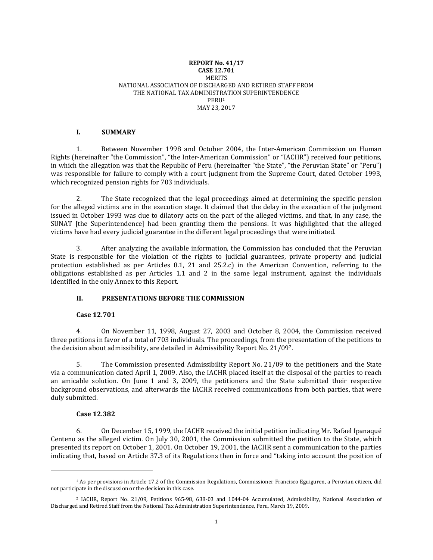#### **REPORT No. 41/17 CASE 12.701** MERITS NATIONAL ASSOCIATION OF DISCHARGED AND RETIRED STAFF FROM THE NATIONAL TAX ADMINISTRATION SUPERINTENDENCE PERU<sup>1</sup> MAY 23, 2017

### **I. SUMMARY**

1. Between November 1998 and October 2004, the Inter-American Commission on Human Rights (hereinafter "the Commission", "the Inter-American Commission" or "IACHR") received four petitions, in which the allegation was that the Republic of Peru (hereinafter "the State", "the Peruvian State" or "Peru") was responsible for failure to comply with a court judgment from the Supreme Court, dated October 1993, which recognized pension rights for 703 individuals.

2. The State recognized that the legal proceedings aimed at determining the specific pension for the alleged victims are in the execution stage. It claimed that the delay in the execution of the judgment issued in October 1993 was due to dilatory acts on the part of the alleged victims, and that, in any case, the SUNAT [the Superintendence] had been granting them the pensions. It was highlighted that the alleged victims have had every judicial guarantee in the different legal proceedings that were initiated.

3. After analyzing the available information, the Commission has concluded that the Peruvian State is responsible for the violation of the rights to judicial guarantees, private property and judicial protection established as per Articles 8.1, 21 and 25.2.c) in the American Convention, referring to the obligations established as per Articles 1.1 and 2 in the same legal instrument, against the individuals identified in the only Annex to this Report.

## **II. PRESENTATIONS BEFORE THE COMMISSION**

#### **Case 12.701**

4. On November 11, 1998, August 27, 2003 and October 8, 2004, the Commission received three petitions in favor of a total of 703 individuals. The proceedings, from the presentation of the petitions to the decision about admissibility, are detailed in Admissibility Report No. 21/092.

5. The Commission presented Admissibility Report No. 21/09 to the petitioners and the State via a communication dated April 1, 2009. Also, the IACHR placed itself at the disposal of the parties to reach an amicable solution. On June 1 and 3, 2009, the petitioners and the State submitted their respective background observations, and afterwards the IACHR received communications from both parties, that were duly submitted.

#### **Case 12.382**

 $\overline{a}$ 

6. On December 15, 1999, the IACHR received the initial petition indicating Mr. Rafael Ipanaqué Centeno as the alleged victim. On July 30, 2001, the Commission submitted the petition to the State, which presented its report on October 1, 2001. On October 19, 2001, the IACHR sent a communication to the parties indicating that, based on Article 37.3 of its Regulations then in force and "taking into account the position of

<sup>1</sup> As per provisions in Article 17.2 of the Commission Regulations, Commissioner Francisco Eguiguren, a Peruvian citizen, did not participate in the discussion or the decision in this case.

<sup>2</sup> IACHR, [Report](http://www.cidh.oas.org/annualrep/2009sp/Peru965-98.sp.htm) No. 21/09, Petitions 965-98, 638-03 and 1044-04 Accumulated, Admissibility, National Association of Discharged and Retired Staff from the National Tax Administration Superintendence, Peru, March 19, 2009.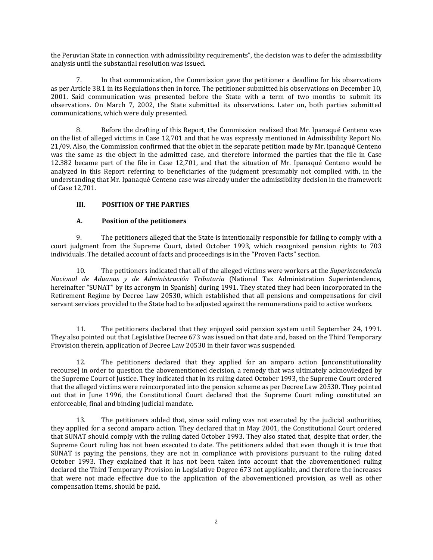the Peruvian State in connection with admissibility requirements", the decision was to defer the admissibility analysis until the substantial resolution was issued.

7. In that communication, the Commission gave the petitioner a deadline for his observations as per Article 38.1 in its Regulations then in force. The petitioner submitted his observations on December 10, 2001. Said communication was presented before the State with a term of two months to submit its observations. On March 7, 2002, the State submitted its observations. Later on, both parties submitted communications, which were duly presented.

8. Before the drafting of this Report, the Commission realized that Mr. Ipanaqué Centeno was on the list of alleged victims in Case 12,701 and that he was expressly mentioned in Admissibility Report No. 21/09. Also, the Commission confirmed that the objet in the separate petition made by Mr. Ipanaqué Centeno was the same as the object in the admitted case, and therefore informed the parties that the file in Case 12.382 became part of the file in Case 12,701, and that the situation of Mr. Ipanaqué Centeno would be analyzed in this Report referring to beneficiaries of the judgment presumably not complied with, in the understanding that Mr. Ipanaqué Centeno case was already under the admissibility decision in the framework of Case 12,701.

## **III. POSITION OF THE PARTIES**

## **A. Position of the petitioners**

9. The petitioners alleged that the State is intentionally responsible for failing to comply with a court judgment from the Supreme Court, dated October 1993, which recognized pension rights to 703 individuals. The detailed account of facts and proceedings is in the "Proven Facts" section.

10. The petitioners indicated that all of the alleged victims were workers at the *Superintendencia Nacional de Aduanas y de Administración Tributaria* (National Tax Administration Superintendence, hereinafter "SUNAT" by its acronym in Spanish) during 1991. They stated they had been incorporated in the Retirement Regime by Decree Law 20530, which established that all pensions and compensations for civil servant services provided to the State had to be adjusted against the remunerations paid to active workers.

11. The petitioners declared that they enjoyed said pension system until September 24, 1991. They also pointed out that Legislative Decree 673 was issued on that date and, based on the Third Temporary Provision therein, application of Decree Law 20530 in their favor was suspended.

12. The petitioners declared that they applied for an amparo action [unconstitutionality recourse] in order to question the abovementioned decision, a remedy that was ultimately acknowledged by the Supreme Court of Justice. They indicated that in its ruling dated October 1993, the Supreme Court ordered that the alleged victims were reincorporated into the pension scheme as per Decree Law 20530. They pointed out that in June 1996, the Constitutional Court declared that the Supreme Court ruling constituted an enforceable, final and binding judicial mandate.

13. The petitioners added that, since said ruling was not executed by the judicial authorities, they applied for a second amparo action. They declared that in May 2001, the Constitutional Court ordered that SUNAT should comply with the ruling dated October 1993. They also stated that, despite that order, the Supreme Court ruling has not been executed to date. The petitioners added that even though it is true that SUNAT is paying the pensions, they are not in compliance with provisions pursuant to the ruling dated October 1993. They explained that it has not been taken into account that the abovementioned ruling declared the Third Temporary Provision in Legislative Degree 673 not applicable, and therefore the increases that were not made effective due to the application of the abovementioned provision, as well as other compensation items, should be paid.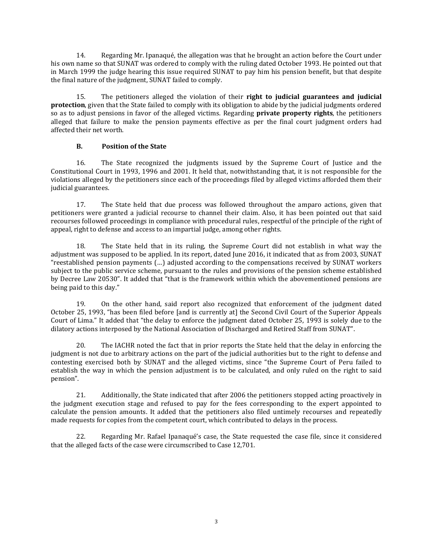14. Regarding Mr. Ipanaqué, the allegation was that he brought an action before the Court under his own name so that SUNAT was ordered to comply with the ruling dated October 1993. He pointed out that in March 1999 the judge hearing this issue required SUNAT to pay him his pension benefit, but that despite the final nature of the judgment, SUNAT failed to comply.

15. The petitioners alleged the violation of their **right to judicial guarantees and judicial protection**, given that the State failed to comply with its obligation to abide by the judicial judgments ordered so as to adjust pensions in favor of the alleged victims. Regarding **private property rights**, the petitioners alleged that failure to make the pension payments effective as per the final court judgment orders had affected their net worth.

# **B. Position of the State**

16. The State recognized the judgments issued by the Supreme Court of Justice and the Constitutional Court in 1993, 1996 and 2001. It held that, notwithstanding that, it is not responsible for the violations alleged by the petitioners since each of the proceedings filed by alleged victims afforded them their judicial guarantees.

17. The State held that due process was followed throughout the amparo actions, given that petitioners were granted a judicial recourse to channel their claim. Also, it has been pointed out that said recourses followed proceedings in compliance with procedural rules, respectful of the principle of the right of appeal, right to defense and access to an impartial judge, among other rights.

18. The State held that in its ruling, the Supreme Court did not establish in what way the adjustment was supposed to be applied. In its report, dated June 2016, it indicated that as from 2003, SUNAT "reestablished pension payments (…) adjusted according to the compensations received by SUNAT workers subject to the public service scheme, pursuant to the rules and provisions of the pension scheme established by Decree Law 20530". It added that "that is the framework within which the abovementioned pensions are being paid to this day."

19. On the other hand, said report also recognized that enforcement of the judgment dated October 25, 1993, "has been filed before [and is currently at] the Second Civil Court of the Superior Appeals Court of Lima." It added that "the delay to enforce the judgment dated October 25, 1993 is solely due to the dilatory actions interposed by the National Association of Discharged and Retired Staff from SUNAT".

20. The IACHR noted the fact that in prior reports the State held that the delay in enforcing the judgment is not due to arbitrary actions on the part of the judicial authorities but to the right to defense and contesting exercised both by SUNAT and the alleged victims, since "the Supreme Court of Peru failed to establish the way in which the pension adjustment is to be calculated, and only ruled on the right to said pension".

21. Additionally, the State indicated that after 2006 the petitioners stopped acting proactively in the judgment execution stage and refused to pay for the fees corresponding to the expert appointed to calculate the pension amounts. It added that the petitioners also filed untimely recourses and repeatedly made requests for copies from the competent court, which contributed to delays in the process.

22. Regarding Mr. Rafael Ipanaqué's case, the State requested the case file, since it considered that the alleged facts of the case were circumscribed to Case 12,701.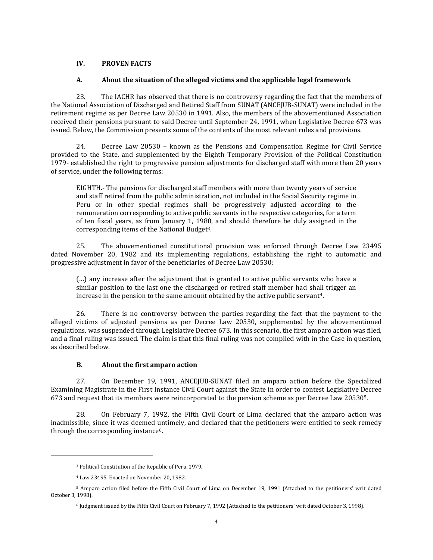## **IV. PROVEN FACTS**

### **A. About the situation of the alleged victims and the applicable legal framework**

23. The IACHR has observed that there is no controversy regarding the fact that the members of the National Association of Discharged and Retired Staff from SUNAT (ANCEJUB-SUNAT) were included in the retirement regime as per Decree Law 20530 in 1991. Also, the members of the abovementioned Association received their pensions pursuant to said Decree until September 24, 1991, when Legislative Decree 673 was issued. Below, the Commission presents some of the contents of the most relevant rules and provisions.

24. Decree Law 20530 – known as the Pensions and Compensation Regime for Civil Service provided to the State, and supplemented by the Eighth Temporary Provision of the Political Constitution 1979- established the right to progressive pension adjustments for discharged staff with more than 20 years of service, under the following terms:

EIGHTH.- The pensions for discharged staff members with more than twenty years of service and staff retired from the public administration, not included in the Social Security regime in Peru or in other special regimes shall be progressively adjusted according to the remuneration corresponding to active public servants in the respective categories, for a term of ten fiscal years, as from January 1, 1980, and should therefore be duly assigned in the corresponding items of the National Budget<sup>3</sup>.

25. The abovementioned constitutional provision was enforced through Decree Law 23495 dated November 20, 1982 and its implementing regulations, establishing the right to automatic and progressive adjustment in favor of the beneficiaries of Decree Law 20530:

(…) any increase after the adjustment that is granted to active public servants who have a similar position to the last one the discharged or retired staff member had shall trigger an increase in the pension to the same amount obtained by the active public servant<sup>4</sup>.

26. There is no controversy between the parties regarding the fact that the payment to the alleged victims of adjusted pensions as per Decree Law 20530, supplemented by the abovementioned regulations, was suspended through Legislative Decree 673. In this scenario, the first amparo action was filed, and a final ruling was issued. The claim is that this final ruling was not complied with in the Case in question, as described below.

## **B. About the first amparo action**

27. On December 19, 1991, ANCEJUB-SUNAT filed an amparo action before the Specialized Examining Magistrate in the First Instance Civil Court against the State in order to contest Legislative Decree 673 and request that its members were reincorporated to the pension scheme as per Decree Law 205305.

28. On February 7, 1992, the Fifth Civil Court of Lima declared that the amparo action was inadmissible, since it was deemed untimely, and declared that the petitioners were entitled to seek remedy through the corresponding instance<sup>6</sup>.

<sup>3</sup> Political Constitution of the Republic of Peru, 1979.

<sup>4</sup> Law 23495. Enacted on November 20, 1982.

<sup>5</sup> Amparo action filed before the Fifth Civil Court of Lima on December 19, 1991 (Attached to the petitioners' writ dated October 3, 1998).

<sup>6</sup> Judgment issued by the Fifth Civil Court on February 7, 1992 (Attached to the petitioners' writ dated October 3, 1998).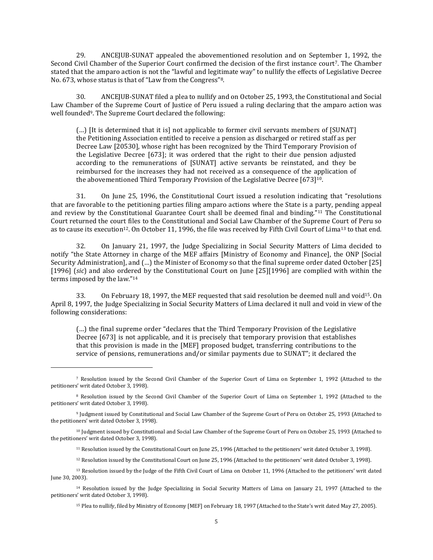29. ANCEJUB-SUNAT appealed the abovementioned resolution and on September 1, 1992, the Second Civil Chamber of the Superior Court confirmed the decision of the first instance court<sup>7</sup>. The Chamber stated that the amparo action is not the "lawful and legitimate way" to nullify the effects of Legislative Decree No. 673, whose status is that of "Law from the Congress" 8.

30. ANCEJUB-SUNAT filed a plea to nullify and on October 25, 1993, the Constitutional and Social Law Chamber of the Supreme Court of Justice of Peru issued a ruling declaring that the amparo action was well founded<sup>9</sup>. The Supreme Court declared the following:

(…) [It is determined that it is] not applicable to former civil servants members of [SUNAT] the Petitioning Association entitled to receive a pension as discharged or retired staff as per Decree Law [20530], whose right has been recognized by the Third Temporary Provision of the Legislative Decree [673]; it was ordered that the right to their due pension adjusted according to the remunerations of [SUNAT] active servants be reinstated, and they be reimbursed for the increases they had not received as a consequence of the application of the abovementioned Third Temporary Provision of the Legislative Decree [673]<sup>10</sup>.

31. On June 25, 1996, the Constitutional Court issued a resolution indicating that "resolutions that are favorable to the petitioning parties filing amparo actions where the State is a party, pending appeal and review by the Constitutional Guarantee Court shall be deemed final and binding."<sup>11</sup> The Constitutional Court returned the court files to the Constitutional and Social Law Chamber of the Supreme Court of Peru so as to cause its execution12. On October 11, 1996, the file was received by Fifth Civil Court of Lima<sup>13</sup> to that end.

32. On January 21, 1997, the Judge Specializing in Social Security Matters of Lima decided to notify "the State Attorney in charge of the MEF affairs [Ministry of Economy and Finance], the ONP [Social Security Administration], and (…) the Minister of Economy so that the final supreme order dated October [25] [1996] (*sic*) and also ordered by the Constitutional Court on June [25][1996] are complied with within the terms imposed by the law." 14

33. On February 18, 1997, the MEF requested that said resolution be deemed null and void<sup>15</sup>. On April 8, 1997, the Judge Specializing in Social Security Matters of Lima declared it null and void in view of the following considerations:

(…) the final supreme order "declares that the Third Temporary Provision of the Legislative Decree [673] is not applicable, and it is precisely that temporary provision that establishes that this provision is made in the [MEF] proposed budget, transferring contributions to the service of pensions, remunerations and/or similar payments due to SUNAT"; it declared the

<sup>7</sup> Resolution issued by the Second Civil Chamber of the Superior Court of Lima on September 1, 1992 (Attached to the petitioners' writ dated October 3, 1998).

<sup>8</sup> Resolution issued by the Second Civil Chamber of the Superior Court of Lima on September 1, 1992 (Attached to the petitioners' writ dated October 3, 1998).

<sup>9</sup> Judgment issued by Constitutional and Social Law Chamber of the Supreme Court of Peru on October 25, 1993 (Attached to the petitioners' writ dated October 3, 1998).

<sup>10</sup> Judgment issued by Constitutional and Social Law Chamber of the Supreme Court of Peru on October 25, 1993 (Attached to the petitioners' writ dated October 3, 1998).

<sup>11</sup> Resolution issued by the Constitutional Court on June 25, 1996 (Attached to the petitioners' writ dated October 3, 1998).

<sup>12</sup> Resolution issued by the Constitutional Court on June 25, 1996 (Attached to the petitioners' writ dated October 3, 1998).

<sup>13</sup> Resolution issued by the Judge of the Fifth Civil Court of Lima on October 11, 1996 (Attached to the petitioners' writ dated June 30, 2003).

<sup>14</sup> Resolution issued by the Judge Specializing in Social Security Matters of Lima on January 21, 1997 (Attached to the petitioners' writ dated October 3, 1998).

<sup>15</sup> Plea to nullify, filed by Ministry of Economy [MEF] on February 18, 1997 (Attached to the State's writ dated May 27, 2005).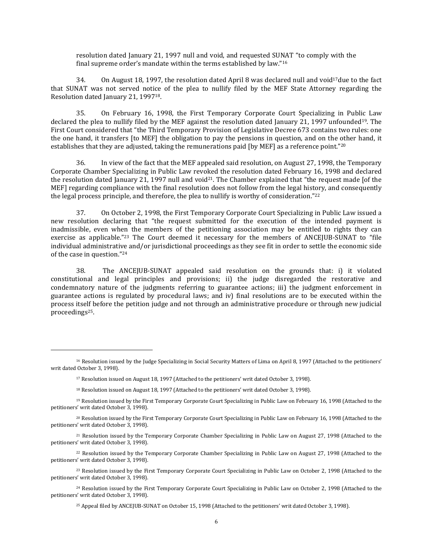resolution dated January 21, 1997 null and void, and requested SUNAT "to comply with the final supreme order's mandate within the terms established by law." 16

34. On August 18, 1997, the resolution dated April 8 was declared null and void<sup>17</sup>due to the fact that SUNAT was not served notice of the plea to nullify filed by the MEF State Attorney regarding the Resolution dated January 21, 199718.

35. On February 16, 1998, the First Temporary Corporate Court Specializing in Public Law declared the plea to nullify filed by the MEF against the resolution dated January 21, 1997 unfounded<sup>19</sup>. The First Court considered that "the Third Temporary Provision of Legislative Decree 673 contains two rules: one the one hand, it transfers [to MEF] the obligation to pay the pensions in question, and on the other hand, it establishes that they are adjusted, taking the remunerations paid [by MEF] as a reference point."<sup>20</sup>

36. In view of the fact that the MEF appealed said resolution, on August 27, 1998, the Temporary Corporate Chamber Specializing in Public Law revoked the resolution dated February 16, 1998 and declared the resolution dated January 21, 1997 null and void<sup>21</sup>. The Chamber explained that "the request made [of the MEF] regarding compliance with the final resolution does not follow from the legal history, and consequently the legal process principle, and therefore, the plea to nullify is worthy of consideration."<sup>22</sup>

37. On October 2, 1998, the First Temporary Corporate Court Specializing in Public Law issued a new resolution declaring that "the request submitted for the execution of the intended payment is inadmissible, even when the members of the petitioning association may be entitled to rights they can exercise as applicable."<sup>23</sup> The Court deemed it necessary for the members of ANCEJUB-SUNAT to "file individual administrative and/or jurisdictional proceedings as they see fit in order to settle the economic side of the case in question." 24

38. The ANCEJUB-SUNAT appealed said resolution on the grounds that: i) it violated constitutional and legal principles and provisions; ii) the judge disregarded the restorative and condemnatory nature of the judgments referring to guarantee actions; iii) the judgment enforcement in guarantee actions is regulated by procedural laws; and iv) final resolutions are to be executed within the process itself before the petition judge and not through an administrative procedure or through new judicial proceedings25.

 $\overline{\phantom{a}}$ 

<sup>18</sup> Resolution issued on August 18, 1997 (Attached to the petitioners' writ dated October 3, 1998).

<sup>16</sup> Resolution issued by the Judge Specializing in Social Security Matters of Lima on April 8, 1997 (Attached to the petitioners' writ dated October 3, 1998).

<sup>17</sup> Resolution issued on August 18, 1997 (Attached to the petitioners' writ dated October 3, 1998).

<sup>19</sup> Resolution issued by the First Temporary Corporate Court Specializing in Public Law on February 16, 1998 (Attached to the petitioners' writ dated October 3, 1998).

<sup>20</sup> Resolution issued by the First Temporary Corporate Court Specializing in Public Law on February 16, 1998 (Attached to the petitioners' writ dated October 3, 1998).

<sup>21</sup> Resolution issued by the Temporary Corporate Chamber Specializing in Public Law on August 27, 1998 (Attached to the petitioners' writ dated October 3, 1998).

<sup>22</sup> Resolution issued by the Temporary Corporate Chamber Specializing in Public Law on August 27, 1998 (Attached to the petitioners' writ dated October 3, 1998).

<sup>23</sup> Resolution issued by the First Temporary Corporate Court Specializing in Public Law on October 2, 1998 (Attached to the petitioners' writ dated October 3, 1998).

<sup>24</sup> Resolution issued by the First Temporary Corporate Court Specializing in Public Law on October 2, 1998 (Attached to the petitioners' writ dated October 3, 1998).

<sup>25</sup> Appeal filed by ANCEJUB-SUNAT on October 15, 1998 (Attached to the petitioners' writ dated October 3, 1998).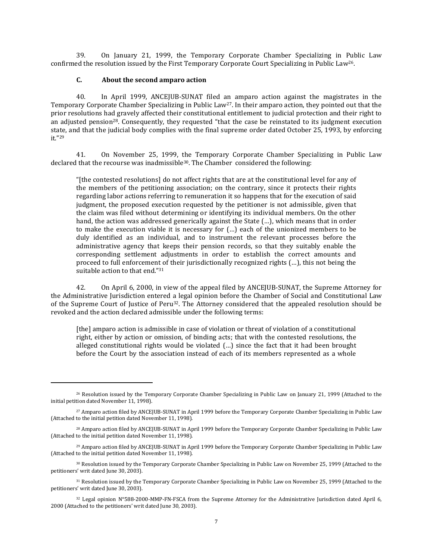39. On January 21, 1999, the Temporary Corporate Chamber Specializing in Public Law confirmed the resolution issued by the First Temporary Corporate Court Specializing in Public Law26.

#### **C. About the second amparo action**

 $\overline{a}$ 

40. In April 1999, ANCEJUB-SUNAT filed an amparo action against the magistrates in the Temporary Corporate Chamber Specializing in Public Law27. In their amparo action, they pointed out that the prior resolutions had gravely affected their constitutional entitlement to judicial protection and their right to an adjusted pension<sup>28</sup>. Consequently, they requested "that the case be reinstated to its judgment execution state, and that the judicial body complies with the final supreme order dated October 25, 1993, by enforcing it." 29

41. On November 25, 1999, the Temporary Corporate Chamber Specializing in Public Law declared that the recourse was inadmissible<sup>30</sup>. The Chamber considered the following:

"[the contested resolutions] do not affect rights that are at the constitutional level for any of the members of the petitioning association; on the contrary, since it protects their rights regarding labor actions referring to remuneration it so happens that for the execution of said judgment, the proposed execution requested by the petitioner is not admissible, given that the claim was filed without determining or identifying its individual members. On the other hand, the action was addressed generically against the State (…), which means that in order to make the execution viable it is necessary for (…) each of the unionized members to be duly identified as an individual, and to instrument the relevant processes before the administrative agency that keeps their pension records, so that they suitably enable the corresponding settlement adjustments in order to establish the correct amounts and proceed to full enforcement of their jurisdictionally recognized rights (…), this not being the suitable action to that end." 31

42. On April 6, 2000, in view of the appeal filed by ANCEJUB-SUNAT, the Supreme Attorney for the Administrative Jurisdiction entered a legal opinion before the Chamber of Social and Constitutional Law of the Supreme Court of Justice of Peru32. The Attorney considered that the appealed resolution should be revoked and the action declared admissible under the following terms:

[the] amparo action is admissible in case of violation or threat of violation of a constitutional right, either by action or omission, of binding acts; that with the contested resolutions, the alleged constitutional rights would be violated (…) since the fact that it had been brought before the Court by the association instead of each of its members represented as a whole

<sup>26</sup> Resolution issued by the Temporary Corporate Chamber Specializing in Public Law on January 21, 1999 (Attached to the initial petition dated November 11, 1998).

<sup>27</sup> Amparo action filed by ANCEJUB-SUNAT in April 1999 before the Temporary Corporate Chamber Specializing in Public Law (Attached to the initial petition dated November 11, 1998).

<sup>28</sup> Amparo action filed by ANCEJUB-SUNAT in April 1999 before the Temporary Corporate Chamber Specializing in Public Law (Attached to the initial petition dated November 11, 1998).

<sup>29</sup> Amparo action filed by ANCEJUB-SUNAT in April 1999 before the Temporary Corporate Chamber Specializing in Public Law (Attached to the initial petition dated November 11, 1998).

<sup>30</sup> Resolution issued by the Temporary Corporate Chamber Specializing in Public Law on November 25, 1999 (Attached to the petitioners' writ dated June 30, 2003).

<sup>31</sup> Resolution issued by the Temporary Corporate Chamber Specializing in Public Law on November 25, 1999 (Attached to the petitioners' writ dated June 30, 2003).

<sup>32</sup> Legal opinion N°588-2000-MMP-FN-FSCA from the Supreme Attorney for the Administrative Jurisdiction dated April 6, 2000 (Attached to the petitioners' writ dated June 30, 2003).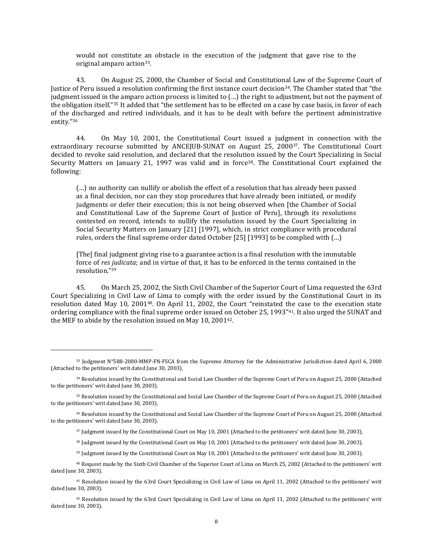would not constitute an obstacle in the execution of the judgment that gave rise to the original amparo action33.

43. On August 25, 2000, the Chamber of Social and Constitutional Law of the Supreme Court of Justice of Peru issued a resolution confirming the first instance court decision34. The Chamber stated that "the judgment issued in the amparo action process is limited to (…) the right to adjustment, but not the payment of the obligation itself."<sup>35</sup> It added that "the settlement has to be effected on a case by case basis, in favor of each of the discharged and retired individuals, and it has to be dealt with before the pertinent administrative entity." 36

44. On May 10, 2001, the Constitutional Court issued a judgment in connection with the extraordinary recourse submitted by ANCEJUB-SUNAT on August 25, 200037. The Constitutional Court decided to revoke said resolution, and declared that the resolution issued by the Court Specializing in Social Security Matters on January 21, 1997 was valid and in force<sup>38</sup>. The Constitutional Court explained the following:

(…) no authority can nullify or abolish the effect of a resolution that has already been passed as a final decision, nor can they stop procedures that have already been initiated, or modify judgments or defer their execution; this is not being observed when [the Chamber of Social and Constitutional Law of the Supreme Court of Justice of Peru], through its resolutions contested on record, intends to nullify the resolution issued by the Court Specializing in Social Security Matters on January [21] [1997], which, in strict compliance with procedural rules, orders the final supreme order dated October [25] [1993] to be complied with (…)

[The] final judgment giving rise to a guarantee action is a final resolution with the immutable force of *res judicata*; and in virtue of that, it has to be enforced in the terms contained in the resolution." 39

45. On March 25, 2002, the Sixth Civil Chamber of the Superior Court of Lima requested the 63rd Court Specializing in Civil Law of Lima to comply with the order issued by the Constitutional Court in its resolution dated May 10, 200140. On April 11, 2002, the Court "reinstated the case to the execution state ordering compliance with the final supreme order issued on October 25, 1993"41. It also urged the SUNAT and the MEF to abide by the resolution issued on May 10, 200142.

 $\overline{\phantom{a}}$ 

<sup>37</sup> Judgment issued by the Constitutional Court on May 10, 2001 (Attached to the petitioners' writ dated June 30, 2003).

<sup>38</sup> Judgment issued by the Constitutional Court on May 10, 2001 (Attached to the petitioners' writ dated June 30, 2003).

<sup>39</sup> Judgment issued by the Constitutional Court on May 10, 2001 (Attached to the petitioners' writ dated June 30, 2003).

<sup>33</sup> Judgment N°588-2000-MMP-FN-FSCA from the Supreme Attorney for the Administrative Jurisdiction dated April 6, 2000 (Attached to the petitioners' writ dated June 30, 2003).

<sup>34</sup> Resolution issued by the Constitutional and Social Law Chamber of the Supreme Court of Peru on August 25, 2000 (Attached to the petitioners' writ dated June 30, 2003).

<sup>35</sup> Resolution issued by the Constitutional and Social Law Chamber of the Supreme Court of Peru on August 25, 2000 (Attached to the petitioners' writ dated June 30, 2003).

<sup>36</sup> Resolution issued by the Constitutional and Social Law Chamber of the Supreme Court of Peru on August 25, 2000 (Attached to the petitioners' writ dated June 30, 2003).

<sup>40</sup> Request made by the Sixth Civil Chamber of the Superior Court of Lima on March 25, 2002 (Attached to the petitioners' writ dated June 30, 2003).

<sup>41</sup> Resolution issued by the 63rd Court Specializing in Civil Law of Lima on April 11, 2002 (Attached to the petitioners' writ dated June 30, 2003).

<sup>42</sup> Resolution issued by the 63rd Court Specializing in Civil Law of Lima on April 11, 2002 (Attached to the petitioners' writ dated June 30, 2003).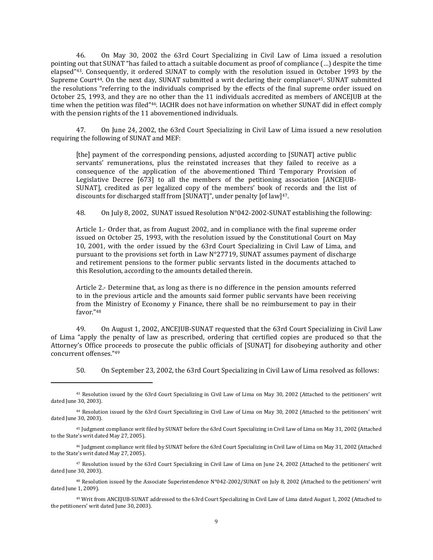46. On May 30, 2002 the 63rd Court Specializing in Civil Law of Lima issued a resolution pointing out that SUNAT "has failed to attach a suitable document as proof of compliance (…) despite the time elapsed" <sup>43</sup>. Consequently, it ordered SUNAT to comply with the resolution issued in October 1993 by the Supreme Court<sup>44</sup>. On the next day, SUNAT submitted a writ declaring their compliance<sup>45</sup>. SUNAT submitted the resolutions "referring to the individuals comprised by the effects of the final supreme order issued on October 25, 1993, and they are no other than the 11 individuals accredited as members of ANCEJUB at the time when the petition was filed" <sup>46</sup>. IACHR does not have information on whether SUNAT did in effect comply with the pension rights of the 11 abovementioned individuals.

47. On June 24, 2002, the 63rd Court Specializing in Civil Law of Lima issued a new resolution requiring the following of SUNAT and MEF:

[the] payment of the corresponding pensions, adjusted according to [SUNAT] active public servants' remunerations, plus the reinstated increases that they failed to receive as a consequence of the application of the abovementioned Third Temporary Provision of Legislative Decree [673] to all the members of the petitioning association [ANCEJUB-SUNAT], credited as per legalized copy of the members' book of records and the list of discounts for discharged staff from [SUNAT]", under penalty [of law]47.

48. On July 8, 2002, SUNAT issued Resolution N°042-2002-SUNAT establishing the following:

Article 1.- Order that, as from August 2002, and in compliance with the final supreme order issued on October 25, 1993, with the resolution issued by the Constitutional Court on May 10, 2001, with the order issued by the 63rd Court Specializing in Civil Law of Lima, and pursuant to the provisions set forth in Law N°27719, SUNAT assumes payment of discharge and retirement pensions to the former public servants listed in the documents attached to this Resolution, according to the amounts detailed therein.

Article 2.- Determine that, as long as there is no difference in the pension amounts referred to in the previous article and the amounts said former public servants have been receiving from the Ministry of Economy y Finance, there shall be no reimbursement to pay in their favor." 48

49. On August 1, 2002, ANCEJUB-SUNAT requested that the 63rd Court Specializing in Civil Law of Lima "apply the penalty of law as prescribed, ordering that certified copies are produced so that the Attorney's Office proceeds to prosecute the public officials of [SUNAT] for disobeying authority and other concurrent offenses." 49

50. On September 23, 2002, the 63rd Court Specializing in Civil Law of Lima resolved as follows:

<sup>43</sup> Resolution issued by the 63rd Court Specializing in Civil Law of Lima on May 30, 2002 (Attached to the petitioners' writ dated June 30, 2003).

<sup>44</sup> Resolution issued by the 63rd Court Specializing in Civil Law of Lima on May 30, 2002 (Attached to the petitioners' writ dated June 30, 2003).

<sup>45</sup> Judgment compliance writ filed by SUNAT before the 63rd Court Specializing in Civil Law of Lima on May 31, 2002 (Attached to the State's writ dated May 27, 2005).

<sup>46</sup> Judgment compliance writ filed by SUNAT before the 63rd Court Specializing in Civil Law of Lima on May 31, 2002 (Attached to the State's writ dated May 27, 2005).

<sup>47</sup> Resolution issued by the 63rd Court Specializing in Civil Law of Lima on June 24, 2002 (Attached to the petitioners' writ dated June 30, 2003).

<sup>48</sup> Resolution issued by the Associate Superintendence N°042-2002/SUNAT on July 8, 2002 (Attached to the petitioners' writ dated June 1, 2009).

<sup>49</sup> Writ from ANCEJUB-SUNAT addressed to the 63rd Court Specializing in Civil Law of Lima dated August 1, 2002 (Attached to the petitioners' writ dated June 30, 2003).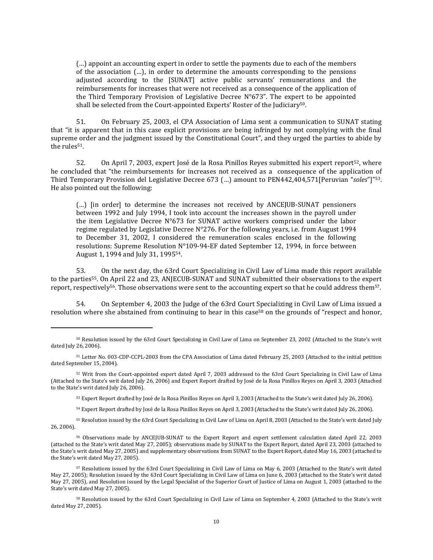(…) appoint an accounting expert in order to settle the payments due to each of the members of the association (…), in order to determine the amounts corresponding to the pensions adjusted according to the [SUNAT] active public servants' remunerations and the reimbursements for increases that were not received as a consequence of the application of the Third Temporary Provision of Legislative Decree  $N^{\circ}673$ ". The expert to be appointed shall be selected from the Court-appointed Experts' Roster of the Judiciary<sup>50</sup>.

51. On February 25, 2003, el CPA Association of Lima sent a communication to SUNAT stating that "it is apparent that in this case explicit provisions are being infringed by not complying with the final supreme order and the judgment issued by the Constitutional Court", and they urged the parties to abide by the rules<sup>51</sup>.

52. On April 7, 2003, expert José de la Rosa Pinillos Reyes submitted his expert report<sup>52</sup>, where he concluded that "the reimbursements for increases not received as a consequence of the application of Third Temporary Provision del Legislative Decree 673 (…) amount to PEN442,404,571[Peruvian "*soles*"]" 53. He also pointed out the following:

(…) [in order] to determine the increases not received by ANCEJUB-SUNAT pensioners between 1992 and July 1994, I took into account the increases shown in the payroll under the item Legislative Decree  $N^{\circ}673$  for SUNAT active workers comprised under the labor regime regulated by Legislative Decree N°276. For the following years, i.e. from August 1994 to December 31, 2002, I considered the remuneration scales enclosed in the following resolutions: Supreme Resolution N°109-94-EF dated September 12, 1994, in force between August 1, 1994 and July 31, 199554.

53. On the next day, the 63rd Court Specializing in Civil Law of Lima made this report available to the parties55. On April 22 and 23, ANJECUB-SUNAT and SUNAT submitted their observations to the expert report, respectively56. Those observations were sent to the accounting expert so that he could address them57.

54. On September 4, 2003 the Judge of the 63rd Court Specializing in Civil Law of Lima issued a resolution where she abstained from continuing to hear in this case<sup>58</sup> on the grounds of "respect and honor,

 $\overline{a}$ 

<sup>55</sup> Resolution issued by the 63rd Court Specializing in Civil Law of Lima on April 8, 2003 (Attached to the State's writ dated July 26, 2006).

<sup>50</sup> Resolution issued by the 63rd Court Specializing in Civil Law of Lima on September 23, 2002 (Attached to the State's writ dated July 26, 2006).

<sup>51</sup> Letter No. 003-CDP-CCPL-2003 from the CPA Association of Lima dated February 25, 2003 (Attached to the initial petition dated September 15, 2004).

<sup>52</sup> Writ from the Court-appointed expert dated April 7, 2003 addressed to the 63rd Court Specializing in Civil Law of Lima (Attached to the State's writ dated July 26, 2006) and Expert Report drafted by José de la Rosa Pinillos Reyes on April 3, 2003 (Attached to the State's writ dated July 26, 2006).

<sup>53</sup> Expert Report drafted by José de la Rosa Pinillos Reyes on April 3, 2003 (Attached to the State's writ dated July 26, 2006).

<sup>54</sup> Expert Report drafted by José de la Rosa Pinillos Reyes on April 3, 2003 (Attached to the State's writ dated July 26, 2006).

<sup>56</sup> Observations made by ANCEJUB-SUNAT to the Expert Report and expert settlement calculation dated April 22, 2003 (attached to the State's writ dated May 27, 2005); observations made by SUNAT to the Expert Report, dated April 23, 2003 (attached to the State's writ dated May 27, 2005) and supplementary observations from SUNAT to the Expert Report, dated May 16, 2003 (attached to the State's writ dated May 27, 2005).

<sup>57</sup> Resolutions issued by the 63rd Court Specializing in Civil Law of Lima on May 6, 2003 (Attached to the State's writ dated May 27, 2005); Resolution issued by the 63rd Court Specializing in Civil Law of Lima on June 6, 2003 (attached to the State's writ dated May 27, 2005), and Resolution issued by the Legal Specialist of the Superior Court of Justice of Lima on August 1, 2003 (attached to the State's writ dated May 27, 2005).

<sup>58</sup> Resolution issued by the 63rd Court Specializing in Civil Law of Lima on September 4, 2003 (Attached to the State's writ dated May 27, 2005).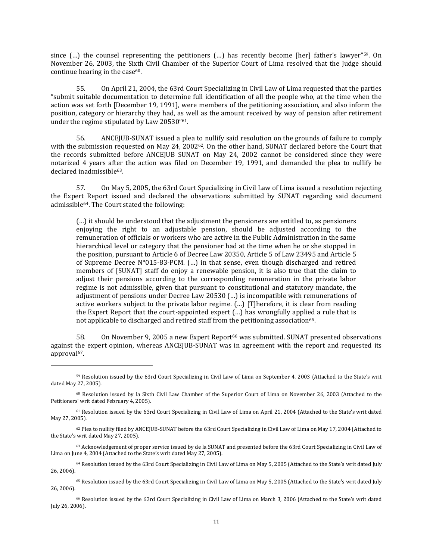since (...) the counsel representing the petitioners (...) has recently become [her] father's lawyer"<sup>59</sup>. On November 26, 2003, the Sixth Civil Chamber of the Superior Court of Lima resolved that the Judge should continue hearing in the case $60$ .

55. On April 21, 2004, the 63rd Court Specializing in Civil Law of Lima requested that the parties "submit suitable documentation to determine full identification of all the people who, at the time when the action was set forth [December 19, 1991], were members of the petitioning association, and also inform the position, category or hierarchy they had, as well as the amount received by way of pension after retirement under the regime stipulated by Law 20530"61.

56. ANCEJUB-SUNAT issued a plea to nullify said resolution on the grounds of failure to comply with the submission requested on May 24, 200262. On the other hand, SUNAT declared before the Court that the records submitted before ANCEJUB SUNAT on May 24, 2002 cannot be considered since they were notarized 4 years after the action was filed on December 19, 1991, and demanded the plea to nullify be declared inadmissible<sup>63</sup>.

57. On May 5, 2005, the 63rd Court Specializing in Civil Law of Lima issued a resolution rejecting the Expert Report issued and declared the observations submitted by SUNAT regarding said document admissible64. The Court stated the following:

(…) it should be understood that the adjustment the pensioners are entitled to, as pensioners enjoying the right to an adjustable pension, should be adjusted according to the remuneration of officials or workers who are active in the Public Administration in the same hierarchical level or category that the pensioner had at the time when he or she stopped in the position, pursuant to Article 6 of Decree Law 20350, Article 5 of Law 23495 and Article 5 of Supreme Decree N°015-83-PCM. (…) in that sense, even though discharged and retired members of [SUNAT] staff do enjoy a renewable pension, it is also true that the claim to adjust their pensions according to the corresponding remuneration in the private labor regime is not admissible, given that pursuant to constitutional and statutory mandate, the adjustment of pensions under Decree Law 20530 (…) is incompatible with remunerations of active workers subject to the private labor regime. (…) [T]herefore, it is clear from reading the Expert Report that the court-appointed expert (…) has wrongfully applied a rule that is not applicable to discharged and retired staff from the petitioning association<sup>65</sup>.

58. On November 9, 2005 a new Expert Report<sup>66</sup> was submitted. SUNAT presented observations against the expert opinion, whereas ANCEJUB-SUNAT was in agreement with the report and requested its approval<sup>67</sup>.

<sup>59</sup> Resolution issued by the 63rd Court Specializing in Civil Law of Lima on September 4, 2003 (Attached to the State's writ dated May 27, 2005).

<sup>60</sup> Resolution issued by la Sixth Civil Law Chamber of the Superior Court of Lima on November 26, 2003 (Attached to the Petitioners' writ dated February 4, 2005).

<sup>61</sup> Resolution issued by the 63rd Court Specializing in Civil Law of Lima on April 21, 2004 (Attached to the State's writ dated May 27, 2005).

<sup>62</sup> Plea to nullify filed by ANCEJUB-SUNAT before the 63rd Court Specializing in Civil Law of Lima on May 17, 2004 (Attached to the State's writ dated May 27, 2005).

<sup>63</sup> Acknowledgement of proper service issued by de la SUNAT and presented before the 63rd Court Specializing in Civil Law of Lima on June 4, 2004 (Attached to the State's writ dated May 27, 2005).

<sup>64</sup> Resolution issued by the 63rd Court Specializing in Civil Law of Lima on May 5, 2005 (Attached to the State's writ dated July 26, 2006).

<sup>65</sup> Resolution issued by the 63rd Court Specializing in Civil Law of Lima on May 5, 2005 (Attached to the State's writ dated July 26, 2006).

<sup>66</sup> Resolution issued by the 63rd Court Specializing in Civil Law of Lima on March 3, 2006 (Attached to the State's writ dated July 26, 2006).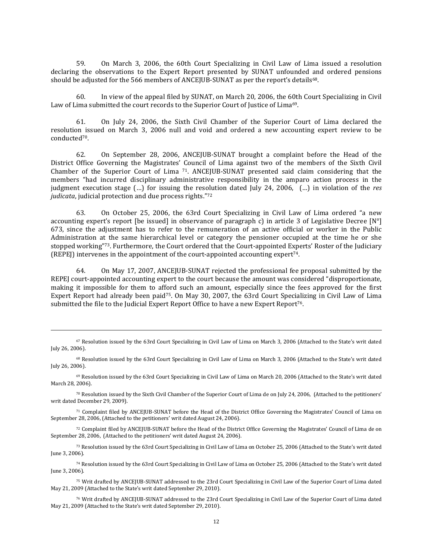59. On March 3, 2006, the 60th Court Specializing in Civil Law of Lima issued a resolution declaring the observations to the Expert Report presented by SUNAT unfounded and ordered pensions should be adjusted for the 566 members of ANCEJUB-SUNAT as per the report's details<sup>68</sup>.

60. In view of the appeal filed by SUNAT, on March 20, 2006, the 60th Court Specializing in Civil Law of Lima submitted the court records to the Superior Court of Justice of Lima<sup>69</sup>.

61. On July 24, 2006, the Sixth Civil Chamber of the Superior Court of Lima declared the resolution issued on March 3, 2006 null and void and ordered a new accounting expert review to be conducted70.

62. On September 28, 2006, ANCEJUB-SUNAT brought a complaint before the Head of the District Office Governing the Magistrates' Council of Lima against two of the members of the Sixth Civil Chamber of the Superior Court of Lima <sup>71</sup>. ANCEJUB-SUNAT presented said claim considering that the members "had incurred disciplinary administrative responsibility in the amparo action process in the judgment execution stage (…) for issuing the resolution dated July 24, 2006, (…) in violation of the *res judicata*, judicial protection and due process rights." 72

63. On October 25, 2006, the 63rd Court Specializing in Civil Law of Lima ordered "a new accounting expert's report [be issued] in observance of paragraph c) in article 3 of Legislative Decree [N°] 673, since the adjustment has to refer to the remuneration of an active official or worker in the Public Administration at the same hierarchical level or category the pensioner occupied at the time he or she stopped working" <sup>73</sup>. Furthermore, the Court ordered that the Court-appointed Experts' Roster of the Judiciary (REPEJ) intervenes in the appointment of the court-appointed accounting expert74.

64. On May 17, 2007, ANCEJUB-SUNAT rejected the professional fee proposal submitted by the REPEJ court-appointed accounting expert to the court because the amount was considered "disproportionate, making it impossible for them to afford such an amount, especially since the fees approved for the first Expert Report had already been paid75. On May 30, 2007, the 63rd Court Specializing in Civil Law of Lima submitted the file to the Judicial Expert Report Office to have a new Expert Report<sup>76</sup>.

<sup>67</sup> Resolution issued by the 63rd Court Specializing in Civil Law of Lima on March 3, 2006 (Attached to the State's writ dated July 26, 2006).

<sup>68</sup> Resolution issued by the 63rd Court Specializing in Civil Law of Lima on March 3, 2006 (Attached to the State's writ dated July 26, 2006).

<sup>69</sup> Resolution issued by the 63rd Court Specializing in Civil Law of Lima on March 20, 2006 (Attached to the State's writ dated March 28, 2006).

<sup>70</sup> Resolution issued by the Sixth Civil Chamber of the Superior Court of Lima de on July 24, 2006, (Attached to the petitioners' writ dated December 29, 2009).

<sup>71</sup> Complaint filed by ANCEJUB-SUNAT before the Head of the District Office Governing the Magistrates' Council of Lima on September 28, 2006, (Attached to the petitioners' writ dated August 24, 2006).

<sup>72</sup> Complaint filed by ANCEJUB-SUNAT before the Head of the District Office Governing the Magistrates' Council of Lima de on September 28, 2006, (Attached to the petitioners' writ dated August 24, 2006).

<sup>73</sup> Resolution issued by the 63rd Court Specializing in Civil Law of Lima on October 25, 2006 (Attached to the State's writ dated June 3, 2006).

<sup>74</sup> Resolution issued by the 63rd Court Specializing in Civil Law of Lima on October 25, 2006 (Attached to the State's writ dated June 3, 2006).

<sup>75</sup> Writ drafted by ANCEJUB-SUNAT addressed to the 23rd Court Specializing in Civil Law of the Superior Court of Lima dated May 21, 2009 (Attached to the State's writ dated September 29, 2010).

<sup>76</sup> Writ drafted by ANCEJUB-SUNAT addressed to the 23rd Court Specializing in Civil Law of the Superior Court of Lima dated May 21, 2009 (Attached to the State's writ dated September 29, 2010).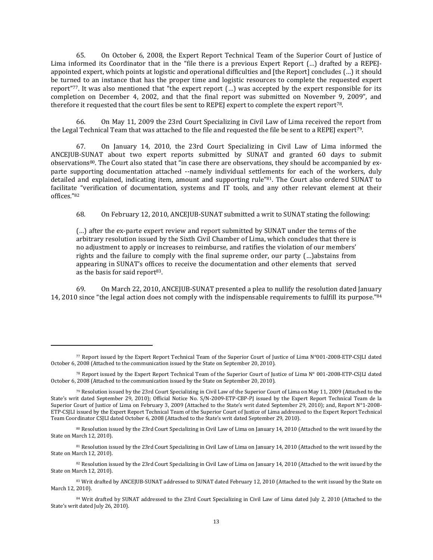65. On October 6, 2008, the Expert Report Technical Team of the Superior Court of Justice of Lima informed its Coordinator that in the "file there is a previous Expert Report (…) drafted by a REPEJappointed expert, which points at logistic and operational difficulties and [the Report] concludes (…) it should be turned to an instance that has the proper time and logistic resources to complete the requested expert report" <sup>77</sup>. It was also mentioned that "the expert report (…) was accepted by the expert responsible for its completion on December 4, 2002, and that the final report was submitted on November 9, 2009", and therefore it requested that the court files be sent to REPEJ expert to complete the expert report78.

66. On May 11, 2009 the 23rd Court Specializing in Civil Law of Lima received the report from the Legal Technical Team that was attached to the file and requested the file be sent to a REPEJ expert79.

67. On January 14, 2010, the 23rd Court Specializing in Civil Law of Lima informed the ANCEJUB-SUNAT about two expert reports submitted by SUNAT and granted 60 days to submit observations<sup>80</sup>. The Court also stated that "in case there are observations, they should be accompanied by exparte supporting documentation attached --namely individual settlements for each of the workers, duly detailed and explained, indicating item, amount and supporting rule"<sup>81</sup>. The Court also ordered SUNAT to facilitate "verification of documentation, systems and IT tools, and any other relevant element at their offices." 82

68. On February 12, 2010, ANCEJUB-SUNAT submitted a writ to SUNAT stating the following:

(…) after the ex-parte expert review and report submitted by SUNAT under the terms of the arbitrary resolution issued by the Sixth Civil Chamber of Lima, which concludes that there is no adjustment to apply or increases to reimburse, and ratifies the violation of our members' rights and the failure to comply with the final supreme order, our party (…)abstains from appearing in SUNAT's offices to receive the documentation and other elements that served as the basis for said report<sup>83</sup>.

69. On March 22, 2010, ANCEJUB-SUNAT presented a plea to nullify the resolution dated January 14, 2010 since "the legal action does not comply with the indispensable requirements to fulfill its purpose."<sup>84</sup>

<sup>77</sup> Report issued by the Expert Report Technical Team of the Superior Court of Justice of Lima N°001-2008-ETP-CSJLI dated October 6, 2008 (Attached to the communication issued by the State on September 20, 2010).

<sup>78</sup> Report issued by the Expert Report Technical Team of the Superior Court of Justice of Lima N° 001-2008-ETP-CSJLI dated October 6, 2008 (Attached to the communication issued by the State on September 20, 2010).

<sup>79</sup> Resolution issued by the 23rd Court Specializing in Civil Law of the Superior Court of Lima on May 11, 2009 (Attached to the State's writ dated September 29, 2010); Official Notice No. S/N-2009-ETP-CBP-PJ issued by the Expert Report Technical Team de la Superior Court of Justice of Lima on February 3, 2009 (Attached to the State's writ dated September 29, 2010); and, Report N°1-2008- ETP-CSJLI issued by the Expert Report Technical Team of the Superior Court of Justice of Lima addressed to the Expert Report Technical Team Coordinator CSJLI dated October 6, 2008 (Attached to the State's writ dated September 29, 2010).

<sup>80</sup> Resolution issued by the 23rd Court Specializing in Civil Law of Lima on January 14, 2010 (Attached to the writ issued by the State on March 12, 2010).

<sup>&</sup>lt;sup>81</sup> Resolution issued by the 23rd Court Specializing in Civil Law of Lima on January 14, 2010 (Attached to the writ issued by the State on March 12, 2010).

<sup>82</sup> Resolution issued by the 23rd Court Specializing in Civil Law of Lima on January 14, 2010 (Attached to the writ issued by the State on March 12, 2010).

<sup>83</sup> Writ drafted by ANCEJUB-SUNAT addressed to SUNAT dated February 12, 2010 (Attached to the writ issued by the State on March 12, 2010).

<sup>84</sup> Writ drafted by SUNAT addressed to the 23rd Court Specializing in Civil Law of Lima dated July 2, 2010 (Attached to the State's writ dated July 26, 2010).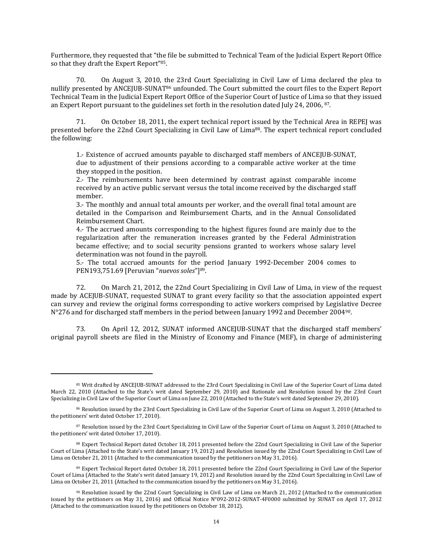Furthermore, they requested that "the file be submitted to Technical Team of the Judicial Expert Report Office so that they draft the Expert Report"<sup>85</sup>.

70. On August 3, 2010, the 23rd Court Specializing in Civil Law of Lima declared the plea to nullify presented by ANCEJUB-SUNAT<sup>86</sup> unfounded. The Court submitted the court files to the Expert Report Technical Team in the Judicial Expert Report Office of the Superior Court of Justice of Lima so that they issued an Expert Report pursuant to the guidelines set forth in the resolution dated July 24, 2006, <sup>87</sup>.

71. On October 18, 2011, the expert technical report issued by the Technical Area in REPEJ was presented before the 22nd Court Specializing in Civil Law of Lima88. The expert technical report concluded the following:

1.- Existence of accrued amounts payable to discharged staff members of ANCEJUB-SUNAT, due to adjustment of their pensions according to a comparable active worker at the time they stopped in the position.

2.- The reimbursements have been determined by contrast against comparable income received by an active public servant versus the total income received by the discharged staff member.

3.- The monthly and annual total amounts per worker, and the overall final total amount are detailed in the Comparison and Reimbursement Charts, and in the Annual Consolidated Reimbursement Chart.

4.- The accrued amounts corresponding to the highest figures found are mainly due to the regularization after the remuneration increases granted by the Federal Administration became effective; and to social security pensions granted to workers whose salary level determination was not found in the payroll.

5.- The total accrued amounts for the period January 1992-December 2004 comes to PEN193,751.69 [Peruvian "*nuevos soles*"]89.

72. On March 21, 2012, the 22nd Court Specializing in Civil Law of Lima, in view of the request made by ACEJUB-SUNAT, requested SUNAT to grant every facility so that the association appointed expert can survey and review the original forms corresponding to active workers comprised by Legislative Decree N°276 and for discharged staff members in the period between January 1992 and December 200490.

73. On April 12, 2012, SUNAT informed ANCEJUB-SUNAT that the discharged staff members' original payroll sheets are filed in the Ministry of Economy and Finance (MEF), in charge of administering

<sup>85</sup> Writ drafted by ANCEJUB-SUNAT addressed to the 23rd Court Specializing in Civil Law of the Superior Court of Lima dated March 22, 2010 (Attached to the State's writ dated September 29, 2010) and Rationale and Resolution issued by the 23rd Court Specializing in Civil Law of the Superior Court of Lima on June 22, 2010 (Attached to the State's writ dated September 29, 2010).

<sup>86</sup> Resolution issued by the 23rd Court Specializing in Civil Law of the Superior Court of Lima on August 3, 2010 (Attached to the petitioners' writ dated October 17, 2010).

<sup>87</sup> Resolution issued by the 23rd Court Specializing in Civil Law of the Superior Court of Lima on August 3, 2010 (Attached to the petitioners' writ dated October 17, 2010).

<sup>88</sup> Expert Technical Report dated October 18, 2011 presented before the 22nd Court Specializing in Civil Law of the Superior Court of Lima (Attached to the State's writ dated January 19, 2012) and Resolution issued by the 22nd Court Specializing in Civil Law of Lima on October 21, 2011 (Attached to the communication issued by the petitioners on May 31, 2016).

<sup>89</sup> Expert Technical Report dated October 18, 2011 presented before the 22nd Court Specializing in Civil Law of the Superior Court of Lima (Attached to the State's writ dated January 19, 2012) and Resolution issued by the 22nd Court Specializing in Civil Law of Lima on October 21, 2011 (Attached to the communication issued by the petitioners on May 31, 2016).

 $90$  Resolution issued by the 22nd Court Specializing in Civil Law of Lima on March 21, 2012 (Attached to the communication issued by the petitioners on May 31, 2016) and Official Notice N°092-2012-SUNAT-4F0000 submitted by SUNAT on April 17, 2012 (Attached to the communication issued by the petitioners on October 18, 2012).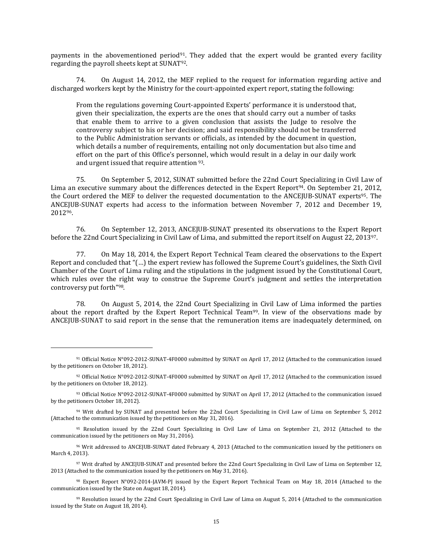payments in the abovementioned period<sup>91</sup>. They added that the expert would be granted every facility regarding the payroll sheets kept at SUNAT92.

74. On August 14, 2012, the MEF replied to the request for information regarding active and discharged workers kept by the Ministry for the court-appointed expert report, stating the following:

From the regulations governing Court-appointed Experts' performance it is understood that, given their specialization, the experts are the ones that should carry out a number of tasks that enable them to arrive to a given conclusion that assists the Judge to resolve the controversy subject to his or her decision; and said responsibility should not be transferred to the Public Administration servants or officials, as intended by the document in question, which details a number of requirements, entailing not only documentation but also time and effort on the part of this Office's personnel, which would result in a delay in our daily work and urgent issued that require attention <sup>93</sup>.

75. On September 5, 2012, SUNAT submitted before the 22nd Court Specializing in Civil Law of Lima an executive summary about the differences detected in the Expert Report<sup>94</sup>. On September 21, 2012, the Court ordered the MEF to deliver the requested documentation to the ANCEJUB-SUNAT experts95. The ANCEJUB-SUNAT experts had access to the information between November 7, 2012 and December 19, 201296.

76. On September 12, 2013, ANCEJUB-SUNAT presented its observations to the Expert Report before the 22nd Court Specializing in Civil Law of Lima, and submitted the report itself on August 22, 201397.

77. On May 18, 2014, the Expert Report Technical Team cleared the observations to the Expert Report and concluded that "(…) the expert review has followed the Supreme Court's guidelines, the Sixth Civil Chamber of the Court of Lima ruling and the stipulations in the judgment issued by the Constitutional Court, which rules over the right way to construe the Supreme Court's judgment and settles the interpretation controversy put forth" 98.

78. On August 5, 2014, the 22nd Court Specializing in Civil Law of Lima informed the parties about the report drafted by the Expert Report Technical Team99. In view of the observations made by ANCEJUB-SUNAT to said report in the sense that the remuneration items are inadequately determined, on

 $\overline{\phantom{a}}$ 

<sup>91</sup> Official Notice N°092-2012-SUNAT-4F0000 submitted by SUNAT on April 17, 2012 (Attached to the communication issued by the petitioners on October 18, 2012).

<sup>92</sup> Official Notice N°092-2012-SUNAT-4F0000 submitted by SUNAT on April 17, 2012 (Attached to the communication issued by the petitioners on October 18, 2012).

<sup>93</sup> Official Notice N°092-2012-SUNAT-4F0000 submitted by SUNAT on April 17, 2012 (Attached to the communication issued by the petitioners October 18, 2012).

<sup>94</sup> Writ drafted by SUNAT and presented before the 22nd Court Specializing in Civil Law of Lima on September 5, 2012 (Attached to the communication issued by the petitioners on May 31, 2016).

<sup>95</sup> Resolution issued by the 22nd Court Specializing in Civil Law of Lima on September 21, 2012 (Attached to the communication issued by the petitioners on May 31, 2016).

<sup>96</sup> Writ addressed to ANCEJUB-SUNAT dated February 4, 2013 (Attached to the communication issued by the petitioners on March 4, 2013).

<sup>97</sup> Writ drafted by ANCEJUB-SUNAT and presented before the 22nd Court Specializing in Civil Law of Lima on September 12, 2013 (Attached to the communication issued by the petitioners on May 31, 2016).

<sup>98</sup> Expert Report N°092-2014-JAVM-PJ issued by the Expert Report Technical Team on May 18, 2014 (Attached to the communication issued by the State on August 18, 2014).

<sup>99</sup> Resolution issued by the 22nd Court Specializing in Civil Law of Lima on August 5, 2014 (Attached to the communication issued by the State on August 18, 2014).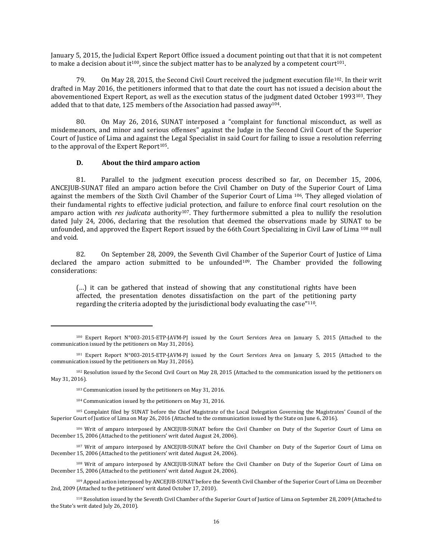January 5, 2015, the Judicial Expert Report Office issued a document pointing out that that it is not competent to make a decision about it<sup>100</sup>, since the subject matter has to be analyzed by a competent court<sup>101</sup>.

79. On May 28, 2015, the Second Civil Court received the judgment execution file<sup>102</sup>. In their writ drafted in May 2016, the petitioners informed that to that date the court has not issued a decision about the abovementioned Expert Report, as well as the execution status of the judgment dated October 1993103. They added that to that date, 125 members of the Association had passed away<sup>104</sup>.

80. On May 26, 2016, SUNAT interposed a "complaint for functional misconduct, as well as misdemeanors, and minor and serious offenses" against the Judge in the Second Civil Court of the Superior Court of Justice of Lima and against the Legal Specialist in said Court for failing to issue a resolution referring to the approval of the Expert Report<sup>105</sup>.

#### **D. About the third amparo action**

81. Parallel to the judgment execution process described so far, on December 15, 2006, ANCEJUB-SUNAT filed an amparo action before the Civil Chamber on Duty of the Superior Court of Lima against the members of the Sixth Civil Chamber of the Superior Court of Lima <sup>106</sup>. They alleged violation of their fundamental rights to effective judicial protection, and failure to enforce final court resolution on the amparo action with *res judicata* authority<sup>107</sup>. They furthermore submitted a plea to nullify the resolution dated July 24, 2006, declaring that the resolution that deemed the observations made by SUNAT to be unfounded, and approved the Expert Report issued by the 66th Court Specializing in Civil Law of Lima <sup>108</sup> null and void.

82. On September 28, 2009, the Seventh Civil Chamber of the Superior Court of Justice of Lima declared the amparo action submitted to be unfounded<sup>109</sup>. The Chamber provided the following considerations:

(…) it can be gathered that instead of showing that any constitutional rights have been affected, the presentation denotes dissatisfaction on the part of the petitioning party regarding the criteria adopted by the jurisdictional body evaluating the case" <sup>110</sup>.

<sup>100</sup> Expert Report N°003-2015-ETP-JAVM-PJ issued by the Court Services Area on January 5, 2015 (Attached to the communication issued by the petitioners on May 31, 2016).

<sup>101</sup> Expert Report N°003-2015-ETP-JAVM-PJ issued by the Court Services Area on January 5, 2015 (Attached to the communication issued by the petitioners on May 31, 2016).

<sup>102</sup> Resolution issued by the Second Civil Court on May 28, 2015 (Attached to the communication issued by the petitioners on May 31, 2016).

<sup>103</sup> Communication issued by the petitioners on May 31, 2016.

<sup>104</sup> Communication issued by the petitioners on May 31, 2016.

<sup>105</sup> Complaint filed by SUNAT before the Chief Magistrate of the Local Delegation Governing the Magistrates' Council of the Superior Court of Justice of Lima on May 26, 2016 (Attached to the communication issued by the State on June 6, 2016).

<sup>106</sup> Writ of amparo interposed by ANCEJUB-SUNAT before the Civil Chamber on Duty of the Superior Court of Lima on December 15, 2006 (Attached to the petitioners' writ dated August 24, 2006).

<sup>107</sup> Writ of amparo interposed by ANCEJUB-SUNAT before the Civil Chamber on Duty of the Superior Court of Lima on December 15, 2006 (Attached to the petitioners' writ dated August 24, 2006).

<sup>108</sup> Writ of amparo interposed by ANCEJUB-SUNAT before the Civil Chamber on Duty of the Superior Court of Lima on December 15, 2006 (Attached to the petitioners' writ dated August 24, 2006).

<sup>109</sup> Appeal action interposed by ANCEJUB-SUNAT before the Seventh Civil Chamber of the Superior Court of Lima on December 2nd, 2009 (Attached to the petitioners' writ dated October 17, 2010).

<sup>110</sup> Resolution issued by the Seventh Civil Chamber of the Superior Court of Justice of Lima on September 28, 2009 (Attached to the State's writ dated July 26, 2010).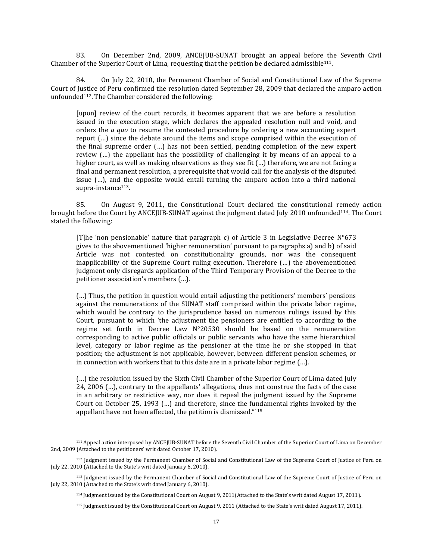83. On December 2nd, 2009, ANCEJUB-SUNAT brought an appeal before the Seventh Civil Chamber of the Superior Court of Lima, requesting that the petition be declared admissible111.

84. On July 22, 2010, the Permanent Chamber of Social and Constitutional Law of the Supreme Court of Justice of Peru confirmed the resolution dated September 28, 2009 that declared the amparo action unfounded<sup>112</sup>. The Chamber considered the following:

[upon] review of the court records, it becomes apparent that we are before a resolution issued in the execution stage, which declares the appealed resolution null and void, and orders the *a quo* to resume the contested procedure by ordering a new accounting expert report (…) since the debate around the items and scope comprised within the execution of the final supreme order (…) has not been settled, pending completion of the new expert review (…) the appellant has the possibility of challenging it by means of an appeal to a higher court, as well as making observations as they see fit (…) therefore, we are not facing a final and permanent resolution, a prerequisite that would call for the analysis of the disputed issue (…), and the opposite would entail turning the amparo action into a third national supra-instance <sup>113</sup>.

85. On August 9, 2011, the Constitutional Court declared the constitutional remedy action brought before the Court by ANCEJUB-SUNAT against the judgment dated July 2010 unfounded114. The Court stated the following:

[T]he 'non pensionable' nature that paragraph c) of Article 3 in Legislative Decree N°673 gives to the abovementioned 'higher remuneration' pursuant to paragraphs a) and b) of said Article was not contested on constitutionality grounds, nor was the consequent inapplicability of the Supreme Court ruling execution. Therefore (…) the abovementioned judgment only disregards application of the Third Temporary Provision of the Decree to the petitioner association's members (…).

(…) Thus, the petition in question would entail adjusting the petitioners' members' pensions against the remunerations of the SUNAT staff comprised within the private labor regime, which would be contrary to the jurisprudence based on numerous rulings issued by this Court, pursuant to which 'the adjustment the pensioners are entitled to according to the regime set forth in Decree Law N°20530 should be based on the remuneration corresponding to active public officials or public servants who have the same hierarchical level, category or labor regime as the pensioner at the time he or she stopped in that position; the adjustment is not applicable, however, between different pension schemes, or in connection with workers that to this date are in a private labor regime (…).

(…) the resolution issued by the Sixth Civil Chamber of the Superior Court of Lima dated July 24, 2006 (…), contrary to the appellants' allegations, does not construe the facts of the case in an arbitrary or restrictive way, nor does it repeal the judgment issued by the Supreme Court on October 25, 1993 (…) and therefore, since the fundamental rights invoked by the appellant have not been affected, the petition is dismissed." 115

<sup>111</sup> Appeal action interposed by ANCEJUB-SUNAT before the Seventh Civil Chamber of the Superior Court of Lima on December 2nd, 2009 (Attached to the petitioners' writ dated October 17, 2010).

<sup>112</sup> Judgment issued by the Permanent Chamber of Social and Constitutional Law of the Supreme Court of Justice of Peru on July 22, 2010 (Attached to the State's writ dated January 6, 2010).

<sup>113</sup> Judgment issued by the Permanent Chamber of Social and Constitutional Law of the Supreme Court of Justice of Peru on July 22, 2010 (Attached to the State's writ dated January 6, 2010).

<sup>114</sup> Judgment issued by the Constitutional Court on August 9, 2011(Attached to the State's writ dated August 17, 2011).

<sup>115</sup> Judgment issued by the Constitutional Court on August 9, 2011 (Attached to the State's writ dated August 17, 2011).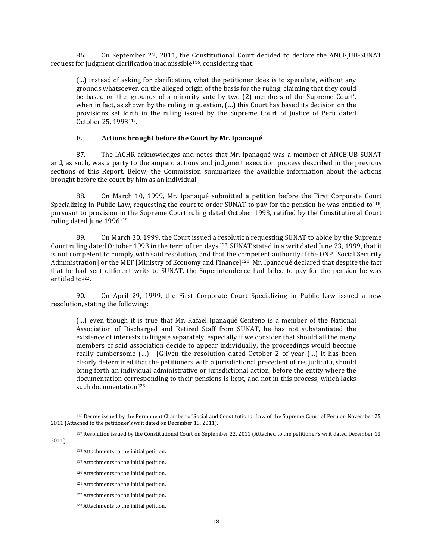86. On September 22, 2011, the Constitutional Court decided to declare the ANCEJUB-SUNAT request for judgment clarification inadmissible<sup>116</sup>, considering that:

(…) instead of asking for clarification, what the petitioner does is to speculate, without any grounds whatsoever, on the alleged origin of the basis for the ruling, claiming that they could be based on the 'grounds of a minority vote by two (2) members of the Supreme Court', when in fact, as shown by the ruling in question, (…) this Court has based its decision on the provisions set forth in the ruling issued by the Supreme Court of Justice of Peru dated October 25, 1993117.

## **E. Actions brought before the Court by Mr. Ipanaqué**

87. The IACHR acknowledges and notes that Mr. Ipanaqué was a member of ANCEJUB-SUNAT and, as such, was a party to the amparo actions and judgment execution process described in the previous sections of this Report. Below, the Commission summarizes the available information about the actions brought before the court by him as an individual.

88. On March 10, 1999, Mr. Ipanaqué submitted a petition before the First Corporate Court Specializing in Public Law, requesting the court to order SUNAT to pay for the pension he was entitled to<sup>118</sup>, pursuant to provision in the Supreme Court ruling dated October 1993, ratified by the Constitutional Court ruling dated June 1996<sup>119</sup>.

89. On March 30, 1999, the Court issued a resolution requesting SUNAT to abide by the Supreme Court ruling dated October 1993 in the term of ten days <sup>120</sup>. SUNAT stated in a writ dated June 23, 1999, that it is not competent to comply with said resolution, and that the competent authority if the ONP [Social Security Administration] or the MEF [Ministry of Economy and Finance]<sup>121</sup>. Mr. Ipanaqué declared that despite the fact that he had sent different writs to SUNAT, the Superintendence had failed to pay for the pension he was entitled to<sup>122</sup>.

90. On April 29, 1999, the First Corporate Court Specializing in Public Law issued a new resolution, stating the following:

(…) even though it is true that Mr. Rafael Ipanaqué Centeno is a member of the National Association of Discharged and Retired Staff from SUNAT, he has not substantiated the existence of interests to litigate separately, especially if we consider that should all the many members of said association decide to appear individually, the proceedings would become really cumbersome (…). [G]iven the resolution dated October 2 of year (…) it has been clearly determined that the petitioners with a jurisdictional precedent of res judicata, should bring forth an individual administrative or jurisdictional action, before the entity where the documentation corresponding to their pensions is kept, and not in this process, which lacks such documentation<sup>123</sup>.

2011).

<sup>116</sup> Decree issued by the Permanent Chamber of Social and Constitutional Law of the Supreme Court of Peru on November 25, 2011 (Attached to the petitioner's writ dated on December 13, 2011).

<sup>117</sup> Resolution issued by the Constitutional Court on September 22, 2011 (Attached to the petitioner's writ dated December 13,

<sup>118</sup> Attachments to the initial petition.

<sup>119</sup> Attachments to the initial petition.

<sup>120</sup> Attachments to the initial petition.

<sup>121</sup> Attachments to the initial petition.

<sup>122</sup> Attachments to the initial petition.

<sup>123</sup> Attachments to the initial petition.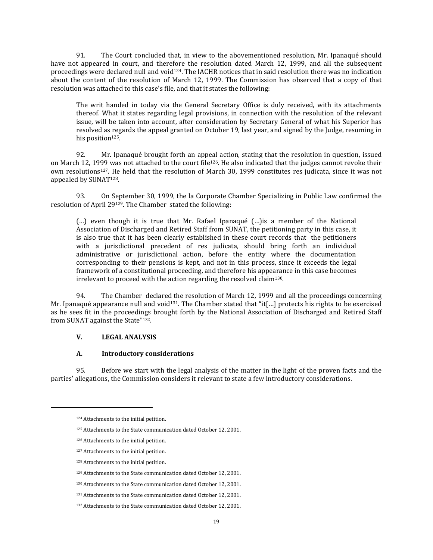91. The Court concluded that, in view to the abovementioned resolution, Mr. Ipanaqué should have not appeared in court, and therefore the resolution dated March 12, 1999, and all the subsequent proceedings were declared null and void124. The IACHR notices that in said resolution there was no indication about the content of the resolution of March 12, 1999. The Commission has observed that a copy of that resolution was attached to this case's file, and that it states the following:

The writ handed in today via the General Secretary Office is duly received, with its attachments thereof. What it states regarding legal provisions, in connection with the resolution of the relevant issue, will be taken into account, after consideration by Secretary General of what his Superior has resolved as regards the appeal granted on October 19, last year, and signed by the Judge, resuming in his position<sup>125</sup>.

92. Mr. Ipanaqué brought forth an appeal action, stating that the resolution in question, issued on March 12, 1999 was not attached to the court file<sup>126</sup>. He also indicated that the judges cannot revoke their own resolutions127. He held that the resolution of March 30, 1999 constitutes res judicata, since it was not appealed by SUNAT128.

93. On September 30, 1999, the la Corporate Chamber Specializing in Public Law confirmed the resolution of April 29129. The Chamber stated the following:

(…) even though it is true that Mr. Rafael Ipanaqué (…)is a member of the National Association of Discharged and Retired Staff from SUNAT, the petitioning party in this case, it is also true that it has been clearly established in these court records that the petitioners with a jurisdictional precedent of res judicata, should bring forth an individual administrative or jurisdictional action, before the entity where the documentation corresponding to their pensions is kept, and not in this process, since it exceeds the legal framework of a constitutional proceeding, and therefore his appearance in this case becomes irrelevant to proceed with the action regarding the resolved claim<sup>130</sup>.

94. The Chamber declared the resolution of March 12, 1999 and all the proceedings concerning Mr. Ipanaqué appearance null and void<sup>131</sup>. The Chamber stated that "it[...] protects his rights to be exercised as he sees fit in the proceedings brought forth by the National Association of Discharged and Retired Staff from SUNAT against the State"<sup>132</sup>.

## **V. LEGAL ANALYSIS**

## **A. Introductory considerations**

95. Before we start with the legal analysis of the matter in the light of the proven facts and the parties' allegations, the Commission considers it relevant to state a few introductory considerations.

<sup>124</sup> Attachments to the initial petition.

<sup>125</sup> Attachments to the State communication dated October 12, 2001.

<sup>126</sup> Attachments to the initial petition.

<sup>127</sup> Attachments to the initial petition.

<sup>128</sup> Attachments to the initial petition.

<sup>129</sup> Attachments to the State communication dated October 12, 2001.

<sup>130</sup> Attachments to the State communication dated October 12, 2001.

<sup>131</sup> Attachments to the State communication dated October 12, 2001.

<sup>132</sup> Attachments to the State communication dated October 12, 2001.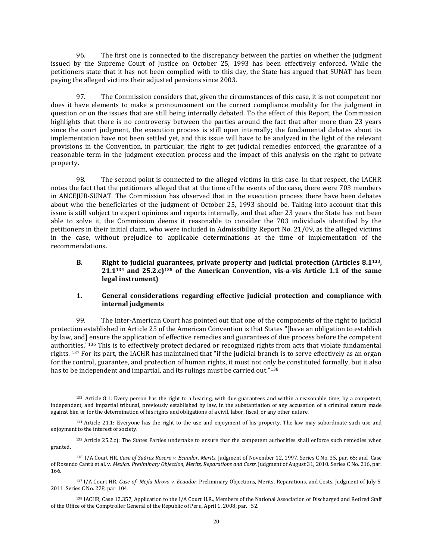96. The first one is connected to the discrepancy between the parties on whether the judgment issued by the Supreme Court of Justice on October 25, 1993 has been effectively enforced. While the petitioners state that it has not been complied with to this day, the State has argued that SUNAT has been paying the alleged victims their adjusted pensions since 2003.

97. The Commission considers that, given the circumstances of this case, it is not competent nor does it have elements to make a pronouncement on the correct compliance modality for the judgment in question or on the issues that are still being internally debated. To the effect of this Report, the Commission highlights that there is no controversy between the parties around the fact that after more than 23 years since the court judgment, the execution process is still open internally; the fundamental debates about its implementation have not been settled yet, and this issue will have to be analyzed in the light of the relevant provisions in the Convention, in particular, the right to get judicial remedies enforced, the guarantee of a reasonable term in the judgment execution process and the impact of this analysis on the right to private property.

98. The second point is connected to the alleged victims in this case. In that respect, the IACHR notes the fact that the petitioners alleged that at the time of the events of the case, there were 703 members in ANCEJUB-SUNAT. The Commission has observed that in the execution process there have been debates about who the beneficiaries of the judgment of October 25, 1993 should be. Taking into account that this issue is still subject to expert opinions and reports internally, and that after 23 years the State has not been able to solve it, the Commission deems it reasonable to consider the 703 individuals identified by the petitioners in their initial claim, who were included in Admissibility Report No. 21/09, as the alleged victims in the case, without prejudice to applicable determinations at the time of implementation of the recommendations.

## **B. Right to judicial guarantees, private property and judicial protection (Articles 8.1133, 21.1<sup>134</sup> and 25.2.c)<sup>135</sup> of the American Convention, vis-a-vis Article 1.1 of the same legal instrument)**

## **1. General considerations regarding effective judicial protection and compliance with internal judgments**

99. The Inter-American Court has pointed out that one of the components of the right to judicial protection established in Article 25 of the American Convention is that States "[have an obligation to establish by law, and] ensure the application of effective remedies and guarantees of due process before the competent authorities."<sup>136</sup> This is to effectively protect declared or recognized rights from acts that violate fundamental rights. <sup>137</sup> For its part, the IACHR has maintained that "if the judicial branch is to serve effectively as an organ for the control, guarantee, and protection of human rights, it must not only be constituted formally, but it also has to be independent and impartial, and its rulings must be carried out."138

<sup>133</sup> Article 8.1: Every person has the right to a hearing, with due guarantees and within a reasonable time, by a competent, independent, and impartial tribunal, previously established by law, in the substantiation of any accusation of a criminal nature made against him or for the determination of his rights and obligations of a civil, labor, fiscal, or any other nature.

<sup>134</sup> Article 21.1: Everyone has the right to the use and enjoyment of his property. The law may subordinate such use and enjoyment to the interest of society.

<sup>135</sup> Article 25.2.c): The States Parties undertake to ensure that the competent authorities shall enforce such remedies when granted.

<sup>136</sup> I/A Court HR. *Case of Suárez Rosero v. Ecuador. Merits.* Judgment of November 12, 1997. Series C No. 35, par. 65; and Case of Rosendo Cantú et al. v. *Mexico. Preliminary Objection, Merits, Reparations and Costs.* Judgment of August 31, 2010. Series C No. 216, par. 166.

<sup>137</sup> I/A Court HR. *Case of Mejía Idrovo v. Ecuador*. Preliminary Objections, Merits, Reparations, and Costs. Judgment of July 5, 2011. Series C No. 228, par. 104.

<sup>138</sup> IACHR, Case 12.357, Application to the I/A Court H.R., Members of the National Association of Discharged and Retired Staff of the Office of the Comptroller General of the Republic of Peru, April 1, 2008, par. 52.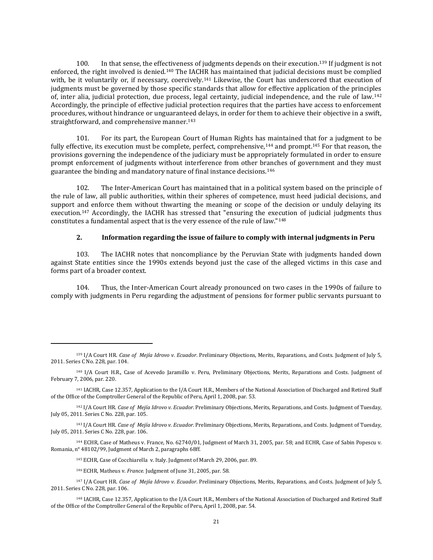100. In that sense, the effectiveness of judgments depends on their execution.<sup>139</sup> If judgment is not enforced, the right involved is denied.<sup>140</sup> The IACHR has maintained that judicial decisions must be complied with, be it voluntarily or, if necessary, coercively.<sup>141</sup> Likewise, the Court has underscored that execution of judgments must be governed by those specific standards that allow for effective application of the principles of, inter alia, judicial protection, due process, legal certainty, judicial independence, and the rule of law.<sup>142</sup> Accordingly, the principle of effective judicial protection requires that the parties have access to enforcement procedures, without hindrance or unguaranteed delays, in order for them to achieve their objective in a swift, straightforward, and comprehensive manner.<sup>143</sup>

101. For its part, the European Court of Human Rights has maintained that for a judgment to be fully effective, its execution must be complete, perfect, comprehensive,<sup>144</sup> and prompt.<sup>145</sup> For that reason, the provisions governing the independence of the judiciary must be appropriately formulated in order to ensure prompt enforcement of judgments without interference from other branches of government and they must guarantee the binding and mandatory nature of final instance decisions.<sup>146</sup>

102. The Inter-American Court has maintained that in a political system based on the principle of the rule of law, all public authorities, within their spheres of competence, must heed judicial decisions, and support and enforce them without thwarting the meaning or scope of the decision or unduly delaying its execution.<sup>147</sup> Accordingly, the IACHR has stressed that "ensuring the execution of judicial judgments thus constitutes a fundamental aspect that is the very essence of the rule of law."<sup>148</sup>

### **2. Information regarding the issue of failure to comply with internal judgments in Peru**

103. The IACHR notes that noncompliance by the Peruvian State with judgments handed down against State entities since the 1990s extends beyond just the case of the alleged victims in this case and forms part of a broader context.

104. Thus, the Inter-American Court already pronounced on two cases in the 1990s of failure to comply with judgments in Peru regarding the adjustment of pensions for former public servants pursuant to

<sup>144</sup> ECHR, Case of Matheus v. France, No. 62740/01, Judgment of March 31, 2005, par. 58; and ECHR, Case of Sabin Popescu v. Romania, n° 48102/99, Judgment of March 2, paragraphs 68ff.

<sup>145</sup> ECHR, Case of Cocchiarella v. Italy. Judgment of March 29, 2006, par. 89.

<sup>146</sup> ECHR, Matheus v. *France.* Judgment of June 31, 2005, par. 58.

 $\overline{\phantom{a}}$ 

<sup>139</sup> I/A Court HR. *Case of Mejía Idrovo v. Ecuador*. Preliminary Objections, Merits, Reparations, and Costs. Judgment of July 5, 2011. Series C No. 228, par. 104.

<sup>140</sup> I/A Court H.R., Case of Acevedo Jaramillo v. Peru, Preliminary Objections, Merits, Reparations and Costs. Judgment of February 7, 2006, par. 220.

<sup>141</sup> IACHR, Case 12.357, Application to the I/A Court H.R., Members of the National Association of Discharged and Retired Staff of the Office of the Comptroller General of the Republic of Peru, April 1, 2008, par. 53.

<sup>142</sup> I/A Court HR. *Case of Mejía Idrovo v. Ecuador*. Preliminary Objections, Merits, Reparations, and Costs. Judgment of Tuesday, July 05, 2011. Series C No. 228, par. 105.

<sup>143</sup> I/A Court HR. *Case of Mejía Idrovo v. Ecuador*. Preliminary Objections, Merits, Reparations, and Costs. Judgment of Tuesday, July 05, 2011. Series C No. 228, par. 106.

<sup>147</sup> I/A Court HR. *Case of Mejía Idrovo v. Ecuador*. Preliminary Objections, Merits, Reparations, and Costs. Judgment of July 5, 2011. Series C No. 228, par. 106.

<sup>148</sup> IACHR, Case 12.357, Application to the I/A Court H.R., Members of the National Association of Discharged and Retired Staff of the Office of the Comptroller General of the Republic of Peru, April 1, 2008, par. 54.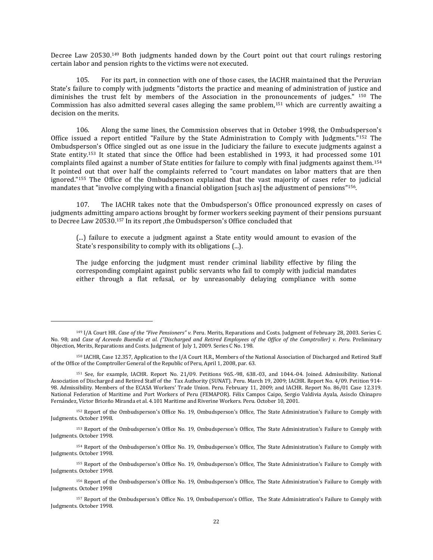Decree Law 20530.<sup>149</sup> Both judgments handed down by the Court point out that court rulings restoring certain labor and pension rights to the victims were not executed.

105. For its part, in connection with one of those cases, the IACHR maintained that the Peruvian State's failure to comply with judgments "distorts the practice and meaning of administration of justice and diminishes the trust felt by members of the Association in the pronouncements of judges." <sup>150</sup> The Commission has also admitted several cases alleging the same problem,<sup>151</sup> which are currently awaiting a decision on the merits.

106. Along the same lines, the Commission observes that in October 1998, the Ombudsperson's Office issued a report entitled "Failure by the State Administration to Comply with Judgments."<sup>152</sup> The Ombudsperson's Office singled out as one issue in the Judiciary the failure to execute judgments against a State entity.<sup>153</sup> It stated that since the Office had been established in 1993, it had processed some 101 complaints filed against a number of State entities for failure to comply with final judgments against them.<sup>154</sup> It pointed out that over half the complaints referred to "court mandates on labor matters that are then ignored."<sup>155</sup> The Office of the Ombudsperson explained that the vast majority of cases refer to judicial mandates that "involve complying with a financial obligation [such as] the adjustment of pensions"<sup>156</sup>.

107. The IACHR takes note that the Ombudsperson's Office pronounced expressly on cases of judgments admitting amparo actions brought by former workers seeking payment of their pensions pursuant to Decree Law 20530.<sup>157</sup> In its report ,the Ombudsperson's Office concluded that

(...) failure to execute a judgment against a State entity would amount to evasion of the State's responsibility to comply with its obligations (...).

The judge enforcing the judgment must render criminal liability effective by filing the corresponding complaint against public servants who fail to comply with judicial mandates either through a flat refusal, or by unreasonably delaying compliance with some

 $\overline{a}$ 

<sup>152</sup> Report of the [Ombudsperson's](http://www.defensoria.gob.pe/modules/Downloads/informes/defensoriales/informe_19.pdf) Office No. 19, Ombudsperson's Office, The State Administration's Failure to Comply with Judgments. October 1998.

<sup>149</sup> I/A Court HR. *Case of the "Five Pensioners" v.* Peru. Merits, Reparations and Costs. Judgment of February 28, 2003. Series C. No. 98; and Case of Acevedo Buendía et al. ("Discharged and Retired Employees of the Office of the Comptroller) v. Peru. Preliminary Objection, Merits, Reparations and Costs. Judgment of July 1, 2009. Series C No. 198.

<sup>150</sup> IACHR, Case 12.357, Application to the I/A Court H.R., Members of the National Association of Discharged and Retired Staff of the Office of the Comptroller General of the Republic of Peru, April 1, 2008, par. 63.

<sup>151</sup> See, for example, IACHR. Report No. 21/09. Petitions 965.-98, 638.-03, and 1044.-04. Joined. Admissibility. National Association of Discharged and Retired Staff of the Tax Authority (SUNAT). Peru. March 19, 2009; IACHR. Report No. 4/09. Petition 914- 98. Admissibility. Members of the ECASA Workers' Trade Union. Peru. February 11, 2009; and IACHR. Report No. 86/01 Case 12.319. National Federation of Maritime and Port Workers of Peru (FEMAPOR). Félix Campos Caipo, Sergio Valdivia Ayala, Asisclo Chinapro Fernández, Víctor Briceño Miranda et al. 4.101 Maritime and Riverine Workers. Peru. October 10, 2001.

<sup>153</sup> Report of the [Ombudsperson's](http://www.defensoria.gob.pe/modules/Downloads/informes/defensoriales/informe_19.pdf) Office No. 19, Ombudsperson's Office, The State Administration's Failure to Comply with Judgments. October 1998.

<sup>154</sup> Report of the [Ombudsperson's](http://www.defensoria.gob.pe/modules/Downloads/informes/defensoriales/informe_19.pdf) Office No. 19, Ombudsperson's Office, The State Administration's Failure to Comply with Judgments. October 1998.

<sup>155</sup> Report of the [Ombudsperson's](http://www.defensoria.gob.pe/modules/Downloads/informes/defensoriales/informe_19.pdf) Office No. 19, Ombudsperson's Office, The State Administration's Failure to Comply with Judgments. October 1998.

<sup>156</sup> Report of the [Ombudsperson's](http://www.defensoria.gob.pe/modules/Downloads/informes/defensoriales/informe_19.pdf) Office No. 19, Ombudsperson's Office, The State Administration's Failure to Comply with Judgments. October 1998

<sup>157</sup> Report of the [Ombudsperson's](http://www.defensoria.gob.pe/modules/Downloads/informes/defensoriales/informe_19.pdf) Office No. 19, Ombudsperson's Office, The State Administration's Failure to Comply with Judgments. October 1998.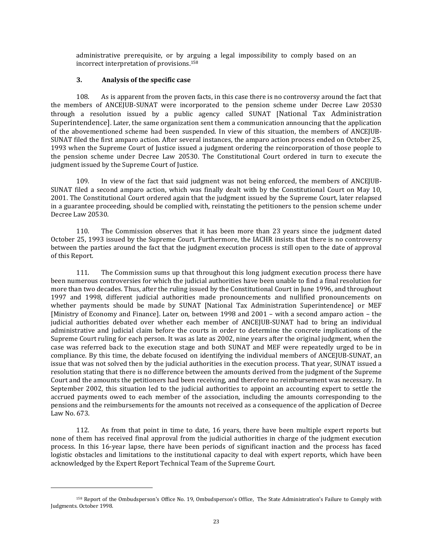administrative prerequisite, or by arguing a legal impossibility to comply based on an incorrect interpretation of provisions.<sup>158</sup>

## **3. Analysis of the specific case**

l

108. As is apparent from the proven facts, in this case there is no controversy around the fact that the members of ANCEJUB-SUNAT were incorporated to the pension scheme under Decree Law 20530 through a resolution issued by a public agency called SUNAT [National Tax Administration Superintendence]. Later, the same organization sent them a communication announcing that the application of the abovementioned scheme had been suspended. In view of this situation, the members of ANCEJUB-SUNAT filed the first amparo action. After several instances, the amparo action process ended on October 25, 1993 when the Supreme Court of Justice issued a judgment ordering the reincorporation of those people to the pension scheme under Decree Law 20530. The Constitutional Court ordered in turn to execute the judgment issued by the Supreme Court of Justice.

109. In view of the fact that said judgment was not being enforced, the members of ANCEJUB-SUNAT filed a second amparo action, which was finally dealt with by the Constitutional Court on May 10, 2001. The Constitutional Court ordered again that the judgment issued by the Supreme Court, later relapsed in a guarantee proceeding, should be complied with, reinstating the petitioners to the pension scheme under Decree Law 20530.

110. The Commission observes that it has been more than 23 years since the judgment dated October 25, 1993 issued by the Supreme Court. Furthermore, the IACHR insists that there is no controversy between the parties around the fact that the judgment execution process is still open to the date of approval of this Report.

111. The Commission sums up that throughout this long judgment execution process there have been numerous controversies for which the judicial authorities have been unable to find a final resolution for more than two decades. Thus, after the ruling issued by the Constitutional Court in June 1996, and throughout 1997 and 1998, different judicial authorities made pronouncements and nullified pronouncements on whether payments should be made by SUNAT [National Tax Administration Superintendence] or MEF [Ministry of Economy and Finance]. Later on, between 1998 and 2001 – with a second amparo action – the judicial authorities debated over whether each member of ANCEJUB-SUNAT had to bring an individual administrative and judicial claim before the courts in order to determine the concrete implications of the Supreme Court ruling for each person. It was as late as 2002, nine years after the original judgment, when the case was referred back to the execution stage and both SUNAT and MEF were repeatedly urged to be in compliance. By this time, the debate focused on identifying the individual members of ANCEJUB-SUNAT, an issue that was not solved then by the judicial authorities in the execution process. That year, SUNAT issued a resolution stating that there is no difference between the amounts derived from the judgment of the Supreme Court and the amounts the petitioners had been receiving, and therefore no reimbursement was necessary. In September 2002, this situation led to the judicial authorities to appoint an accounting expert to settle the accrued payments owed to each member of the association, including the amounts corresponding to the pensions and the reimbursements for the amounts not received as a consequence of the application of Decree Law No. 673.

112. As from that point in time to date, 16 years, there have been multiple expert reports but none of them has received final approval from the judicial authorities in charge of the judgment execution process. In this 16-year lapse, there have been periods of significant inaction and the process has faced logistic obstacles and limitations to the institutional capacity to deal with expert reports, which have been acknowledged by the Expert Report Technical Team of the Supreme Court.

<sup>158</sup> Report of the [Ombudsperson's](http://www.defensoria.gob.pe/modules/Downloads/informes/defensoriales/informe_19.pdf) Office No. 19, Ombudsperson's Office, The State Administration's Failure to Comply with Judgments. October 1998.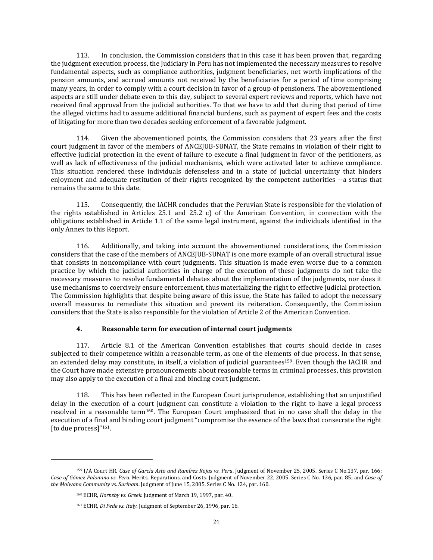113. In conclusion, the Commission considers that in this case it has been proven that, regarding the judgment execution process, the Judiciary in Peru has not implemented the necessary measures to resolve fundamental aspects, such as compliance authorities, judgment beneficiaries, net worth implications of the pension amounts, and accrued amounts not received by the beneficiaries for a period of time comprising many years, in order to comply with a court decision in favor of a group of pensioners. The abovementioned aspects are still under debate even to this day, subject to several expert reviews and reports, which have not received final approval from the judicial authorities. To that we have to add that during that period of time the alleged victims had to assume additional financial burdens, such as payment of expert fees and the costs of litigating for more than two decades seeking enforcement of a favorable judgment.

114. Given the abovementioned points, the Commission considers that 23 years after the first court judgment in favor of the members of ANCEJUB-SUNAT, the State remains in violation of their right to effective judicial protection in the event of failure to execute a final judgment in favor of the petitioners, as well as lack of effectiveness of the judicial mechanisms, which were activated later to achieve compliance. This situation rendered these individuals defenseless and in a state of judicial uncertainty that hinders enjoyment and adequate restitution of their rights recognized by the competent authorities --a status that remains the same to this date.

115. Consequently, the IACHR concludes that the Peruvian State is responsible for the violation of the rights established in Articles 25.1 and 25.2 c) of the American Convention, in connection with the obligations established in Article 1.1 of the same legal instrument, against the individuals identified in the only Annex to this Report.

116. Additionally, and taking into account the abovementioned considerations*,* the Commission considers that the case of the members of ANCEJUB-SUNAT is one more example of an overall structural issue that consists in noncompliance with court judgments. This situation is made even worse due to a common practice by which the judicial authorities in charge of the execution of these judgments do not take the necessary measures to resolve fundamental debates about the implementation of the judgments, nor does it use mechanisms to coercively ensure enforcement, thus materializing the right to effective judicial protection. The Commission highlights that despite being aware of this issue, the State has failed to adopt the necessary overall measures to remediate this situation and prevent its reiteration. Consequently, the Commission considers that the State is also responsible for the violation of Article 2 of the American Convention.

## **4. Reasonable term for execution of internal court judgments**

117. Article 8.1 of the American Convention establishes that courts should decide in cases subjected to their competence within a reasonable term, as one of the elements of due process. In that sense, an extended delay may constitute, in itself, a violation of judicial guarantees159. Even though the IACHR and the Court have made extensive pronouncements about reasonable terms in criminal processes, this provision may also apply to the execution of a final and binding court judgment.

118. This has been reflected in the European Court jurisprudence, establishing that an unjustified delay in the execution of a court judgment can constitute a violation to the right to have a legal process resolved in a reasonable term160. The European Court emphasized that in no case shall the delay in the execution of a final and binding court judgment "compromise the essence of the laws that consecrate the right [to due process]"<sup>161</sup>.

<sup>159</sup> I/A Court HR. *Case of García Asto and Ramírez Rojas vs. Peru*. Judgment of November 25, 2005. Series C No.137, par. 166; *Case of Gómez Palomino vs. Peru.* Merits, [Reparations,](http://joomla.corteidh.or.cr:8080/joomla/es/casos-contenciosos/38-jurisprudencia/698-corte-idh-caso-gomez-palomino-vs-peru-fondo-reparaciones-y-costas-sentencia-de-22-de-noviembre-de-2005-serie-c-no-136) and Costs. Judgment of November 22, 2005. Series C No. 136, par. 85; and *Case of the Moiwana Community vs. Surinam*. Judgment of June 15, 2005. Series C No. 124, par. 160.

<sup>160</sup> ECHR, *Hornsby vs. Greek.* Judgment of March 19, 1997, par. 40.

<sup>161</sup> ECHR, *Di Pede vs. Italy.* Judgment of September 26, 1996, par. 16.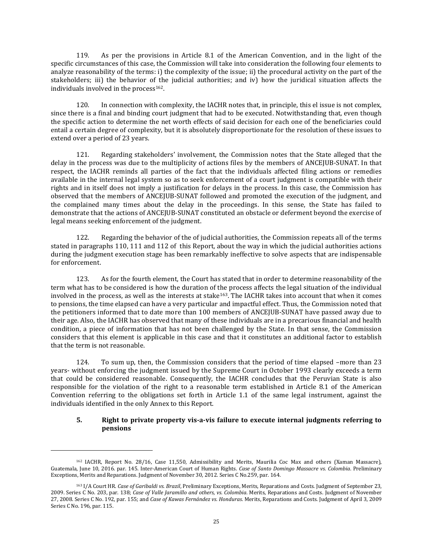119. As per the provisions in Article 8.1 of the American Convention, and in the light of the specific circumstances of this case, the Commission will take into consideration the following four elements to analyze reasonability of the terms: i) the complexity of the issue; ii) the procedural activity on the part of the stakeholders; iii) the behavior of the judicial authorities; and iv) how the juridical situation affects the individuals involved in the process<sup>162</sup>.

120. In connection with complexity, the IACHR notes that, in principle, this el issue is not complex, since there is a final and binding court judgment that had to be executed. Notwithstanding that, even though the specific action to determine the net worth effects of said decision for each one of the beneficiaries could entail a certain degree of complexity, but it is absolutely disproportionate for the resolution of these issues to extend over a period of 23 years.

121. Regarding stakeholders' involvement, the Commission notes that the State alleged that the delay in the process was due to the multiplicity of actions files by the members of ANCEJUB-SUNAT. In that respect, the IACHR reminds all parties of the fact that the individuals affected filing actions or remedies available in the internal legal system so as to seek enforcement of a court judgment is compatible with their rights and in itself does not imply a justification for delays in the process. In this case, the Commission has observed that the members of ANCEJUB-SUNAT followed and promoted the execution of the judgment, and the complained many times about the delay in the proceedings. In this sense, the State has failed to demonstrate that the actions of ANCEJUB-SUNAT constituted an obstacle or deferment beyond the exercise of legal means seeking enforcement of the judgment.

122. Regarding the behavior of the of judicial authorities, the Commission repeats all of the terms stated in paragraphs 110, 111 and 112 of this Report, about the way in which the judicial authorities actions during the judgment execution stage has been remarkably ineffective to solve aspects that are indispensable for enforcement.

123. As for the fourth element, the Court has stated that in order to determine reasonability of the term what has to be considered is how the duration of the process affects the legal situation of the individual involved in the process, as well as the interests at stake<sup>163</sup>. The IACHR takes into account that when it comes to pensions, the time elapsed can have a very particular and impactful effect. Thus, the Commission noted that the petitioners informed that to date more than 100 members of ANCEJUB-SUNAT have passed away due to their age. Also, the IACHR has observed that many of these individuals are in a precarious financial and health condition, a piece of information that has not been challenged by the State. In that sense, the Commission considers that this element is applicable in this case and that it constitutes an additional factor to establish that the term is not reasonable.

124. To sum up, then, the Commission considers that the period of time elapsed –more than 23 years- without enforcing the judgment issued by the Supreme Court in October 1993 clearly exceeds a term that could be considered reasonable. Consequently, the IACHR concludes that the Peruvian State is also responsible for the violation of the right to a reasonable term established in Article 8.1 of the American Convention referring to the obligations set forth in Article 1.1 of the same legal instrument, against the individuals identified in the only Annex to this Report.

### **5. Right to private property vis-a-vis failure to execute internal judgments referring to pensions**

<sup>162</sup> IACHR, Report No. 28/16, Case 11,550, Admissibility and Merits, Maurilia Coc Max and others (Xaman Massacre), Guatemala, June 10, 2016. par. 145. Inter-American Court of Human Rights. *Case of Santo Domingo Massacre vs. Colombia*. Preliminary Exceptions, Merits and Reparations. Judgment of November 30, 2012. Series C No.259, par. 164.

<sup>163</sup> I/A Court HR. *Case of Garibaldi vs. Brazil*, Preliminary Exceptions, Merits, [Reparations](http://joomla.corteidh.or.cr:8080/joomla/es/casos-contenciosos/38-jurisprudencia/882-corte-idh-caso-garibaldi-vs-brasil-excepciones-preliminares-fondo-reparaciones-y-costas-sentencia-de-23-de-septiembre-de-2009-serie-c-no-203) and Costs. Judgment of September 23, 2009. [Series](http://joomla.corteidh.or.cr:8080/joomla/es/casos-contenciosos/38-jurisprudencia/882-corte-idh-caso-garibaldi-vs-brasil-excepciones-preliminares-fondo-reparaciones-y-costas-sentencia-de-23-de-septiembre-de-2009-serie-c-no-203) C No. 203, par. 138; *Case of Valle Jaramillo and others, vs. Colombia*. Merits, [Reparations](http://joomla.corteidh.or.cr:8080/joomla/es/casos-contenciosos/38-jurisprudencia/1334-corte-idh-caso-valle-jaramillo-y-otros-vs-colombia-fondo-reparaciones-y-costas-sentencia-de-27-de-noviembre-de-2008-serie-c-no-192) and Costs. Judgment of November 27, 2008. [Series](http://joomla.corteidh.or.cr:8080/joomla/es/casos-contenciosos/38-jurisprudencia/1334-corte-idh-caso-valle-jaramillo-y-otros-vs-colombia-fondo-reparaciones-y-costas-sentencia-de-27-de-noviembre-de-2008-serie-c-no-192) C No. 192, par. 155; and *Case of Kawas Fernández vs. Honduras*. Merits, [Reparations](http://joomla.corteidh.or.cr:8080/joomla/es/casos-contenciosos/38-jurisprudencia/824-corte-idh-caso-kawas-fernandez-vs-honduras-fondo-reparaciones-y-costas-sentencia-de-3-de-abril-de-2009-serie-c-no-196) and Costs. Judgment of April 3, 2009 [Series](http://joomla.corteidh.or.cr:8080/joomla/es/casos-contenciosos/38-jurisprudencia/824-corte-idh-caso-kawas-fernandez-vs-honduras-fondo-reparaciones-y-costas-sentencia-de-3-de-abril-de-2009-serie-c-no-196) C No. 196, par. 115.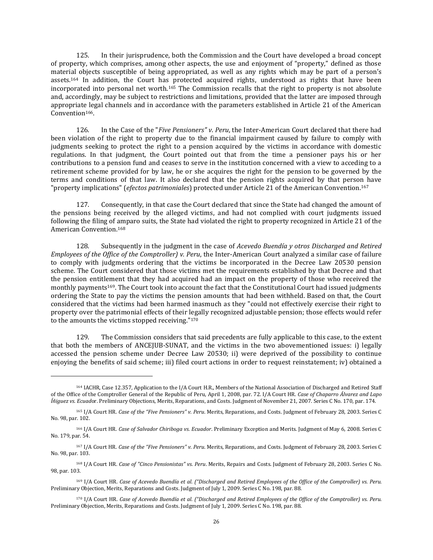125. In their jurisprudence, both the Commission and the Court have developed a broad concept of property, which comprises, among other aspects, the use and enjoyment of "property," defined as those material objects susceptible of being appropriated, as well as any rights which may be part of a person's assets.<sup>164</sup> In addition, the Court has protected acquired rights, understood as rights that have been incorporated into personal net worth.<sup>165</sup> The Commission recalls that the right to property is not absolute and, accordingly, may be subject to restrictions and limitations, provided that the latter are imposed through appropriate legal channels and in accordance with the parameters established in Article 21 of the American Convention<sup>166</sup>.

126. In the Case of the "*Five Pensioners" v*. *Peru*, the Inter-American Court declared that there had been violation of the right to property due to the financial impairment caused by failure to comply with judgments seeking to protect the right to a pension acquired by the victims in accordance with domestic regulations. In that judgment, the Court pointed out that from the time a pensioner pays his or her contributions to a pension fund and ceases to serve in the institution concerned with a view to acceding to a retirement scheme provided for by law, he or she acquires the right for the pension to be governed by the terms and conditions of that law. It also declared that the pension rights acquired by that person have "property implications" (*efectos patrimoniales*) protected under Article 21 of the American Convention.<sup>167</sup>

127. Consequently, in that case the Court declared that since the State had changed the amount of the pensions being received by the alleged victims, and had not complied with court judgments issued following the filing of amparo suits, the State had violated the right to property recognized in Article 21 of the American Convention.<sup>168</sup>

128. Subsequently in the judgment in the case of *Acevedo Buendía y otros Discharged and Retired Employees of the Office of the Comptroller) v. Peru*, the Inter-American Court analyzed a similar case of failure to comply with judgments ordering that the victims be incorporated in the Decree Law 20530 pension scheme. The Court considered that those victims met the requirements established by that Decree and that the pension entitlement that they had acquired had an impact on the property of those who received the monthly payments169. The Court took into account the fact that the Constitutional Court had issued judgments ordering the State to pay the victims the pension amounts that had been withheld. Based on that, the Court considered that the victims had been harmed inasmuch as they "could not effectively exercise their right to property over the patrimonial effects of their legally recognized adjustable pension; those effects would refer to the amounts the victims stopped receiving."<sup>170</sup>

129. The Commission considers that said precedents are fully applicable to this case, to the extent that both the members of ANCEJUB-SUNAT, and the victims in the two abovementioned issues: i) legally accessed the pension scheme under Decree Law 20530; ii) were deprived of the possibility to continue enjoying the benefits of said scheme; iii) filed court actions in order to request reinstatement; iv) obtained a

<sup>164</sup> IACHR, Case 12.357, Application to the I/A Court H.R., Members of the National Association of Discharged and Retired Staff of the Office of the Comptroller General of the Republic of Peru, April 1, 2008, par. 72. I/A Court HR. *Case of Chaparro Álvarez and Lapo Íñiguez vs. Ecuad*or. Preliminary Objections, Merits, Reparations, and Costs. Judgment of November 21, 2007. Series C No. 170, par. 174.

<sup>165</sup> I/A Court HR. *Case of the "Five Pensioners" v. Peru*. Merits, Reparations, and Costs. Judgment of February 28, 2003. Series C No. 98, par. 102.

<sup>166</sup> I/A Court HR. *Case of Salvador Chiriboga vs. Ecuador*. Preliminary Exception and Merits. Judgment of May 6, 2008. Series C No. 179, par. 54.

<sup>167</sup> I/A Court HR. *Case of the "Five Pensioners" v. Peru*. Merits, Reparations, and Costs. Judgment of February 28, 2003. Series C No. 98, par. 103.

<sup>168</sup> I/A Court HR. *Case of "Cinco Pensionistas" vs. Peru*. Merits, Repairs and Costs. Judgment of February 28, 2003. Series C No. 98, par. 103.

<sup>169</sup> I/A Court HR. Case of Acevedo Buendía et al. ("Discharged and Retired Employees of the Office of the Comptroller) vs. Peru. Preliminary Objection, Merits, Reparations and Costs. Judgment of July 1, 2009. Series C No. 198, par. 88.

<sup>170</sup> I/A Court HR. Case of Acevedo Buendía et al. ("Discharged and Retired Employees of the Office of the Comptroller) vs. Peru. Preliminary Objection, Merits, Reparations and Costs. Judgment of July 1, 2009. Series C No. 198, par. 88.